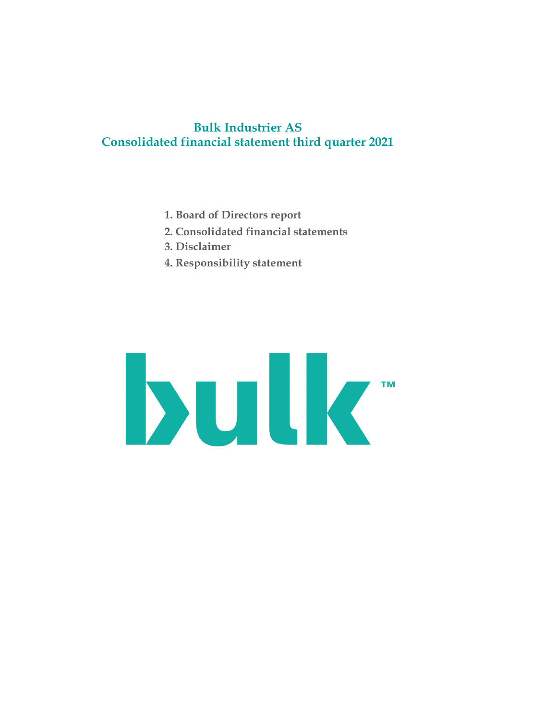# Bulk Industrier AS Consolidated financial statement third quarter 2021

- 1. Board of Directors report
- 2. Consolidated financial statements
- 3. Disclaimer
- 4. Responsibility statement

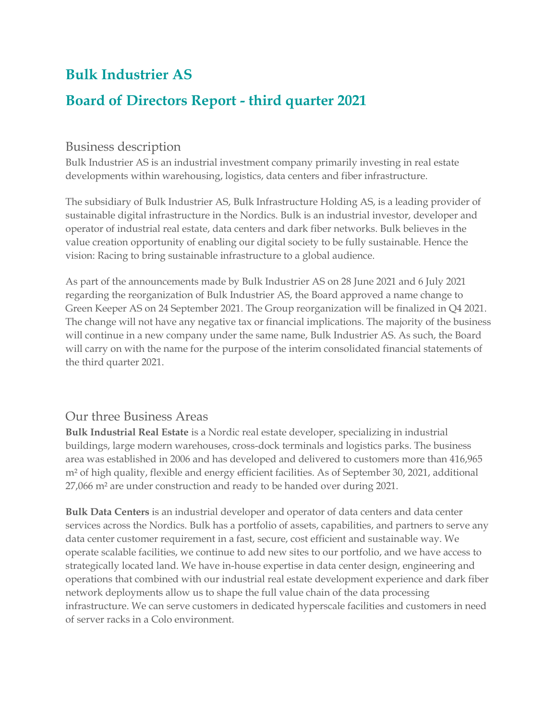# **Bulk Industrier AS**

# **Board of Directors Report - third quarter 2021**

# Business description

Bulk Industrier AS is an industrial investment company primarily investing in real estate developments within warehousing, logistics, data centers and fiber infrastructure.

The subsidiary of Bulk Industrier AS, Bulk Infrastructure Holding AS, is a leading provider of sustainable digital infrastructure in the Nordics. Bulk is an industrial investor, developer and operator of industrial real estate, data centers and dark fiber networks. Bulk believes in the value creation opportunity of enabling our digital society to be fully sustainable. Hence the vision: Racing to bring sustainable infrastructure to a global audience.

As part of the announcements made by Bulk Industrier AS on 28 June 2021 and 6 July 2021 regarding the reorganization of Bulk Industrier AS, the Board approved a name change to Green Keeper AS on 24 September 2021. The Group reorganization will be finalized in Q4 2021. The change will not have any negative tax or financial implications. The majority of the business will continue in a new company under the same name, Bulk Industrier AS. As such, the Board will carry on with the name for the purpose of the interim consolidated financial statements of the third quarter 2021.

# Our three Business Areas

**Bulk Industrial Real Estate** is a Nordic real estate developer, specializing in industrial buildings, large modern warehouses, cross-dock terminals and logistics parks. The business area was established in 2006 and has developed and delivered to customers more than 416,965 m² of high quality, flexible and energy efficient facilities. As of September 30, 2021, additional 27,066 m² are under construction and ready to be handed over during 2021.

**Bulk Data Centers** is an industrial developer and operator of data centers and data center services across the Nordics. Bulk has a portfolio of assets, capabilities, and partners to serve any data center customer requirement in a fast, secure, cost efficient and sustainable way. We operate scalable facilities, we continue to add new sites to our portfolio, and we have access to strategically located land. We have in-house expertise in data center design, engineering and operations that combined with our industrial real estate development experience and dark fiber network deployments allow us to shape the full value chain of the data processing infrastructure. We can serve customers in dedicated hyperscale facilities and customers in need of server racks in a Colo environment.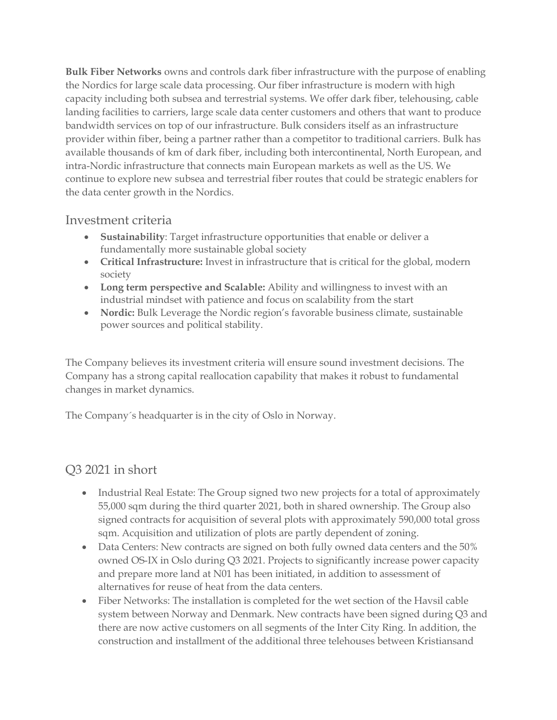**Bulk Fiber Networks** owns and controls dark fiber infrastructure with the purpose of enabling the Nordics for large scale data processing. Our fiber infrastructure is modern with high capacity including both subsea and terrestrial systems. We offer dark fiber, telehousing, cable landing facilities to carriers, large scale data center customers and others that want to produce bandwidth services on top of our infrastructure. Bulk considers itself as an infrastructure provider within fiber, being a partner rather than a competitor to traditional carriers. Bulk has available thousands of km of dark fiber, including both intercontinental, North European, and intra-Nordic infrastructure that connects main European markets as well as the US. We continue to explore new subsea and terrestrial fiber routes that could be strategic enablers for the data center growth in the Nordics.

# Investment criteria

- **Sustainability**: Target infrastructure opportunities that enable or deliver a fundamentally more sustainable global society
- **Critical Infrastructure:** Invest in infrastructure that is critical for the global, modern society
- **Long term perspective and Scalable:** Ability and willingness to invest with an industrial mindset with patience and focus on scalability from the start
- **Nordic:** Bulk Leverage the Nordic region's favorable business climate, sustainable power sources and political stability.

The Company believes its investment criteria will ensure sound investment decisions. The Company has a strong capital reallocation capability that makes it robust to fundamental changes in market dynamics.

The Company´s headquarter is in the city of Oslo in Norway.

# Q3 2021 in short

- Industrial Real Estate: The Group signed two new projects for a total of approximately 55,000 sqm during the third quarter 2021, both in shared ownership. The Group also signed contracts for acquisition of several plots with approximately 590,000 total gross sqm. Acquisition and utilization of plots are partly dependent of zoning.
- Data Centers: New contracts are signed on both fully owned data centers and the 50% owned OS-IX in Oslo during Q3 2021. Projects to significantly increase power capacity and prepare more land at N01 has been initiated, in addition to assessment of alternatives for reuse of heat from the data centers.
- Fiber Networks: The installation is completed for the wet section of the Havsil cable system between Norway and Denmark. New contracts have been signed during Q3 and there are now active customers on all segments of the Inter City Ring. In addition, the construction and installment of the additional three telehouses between Kristiansand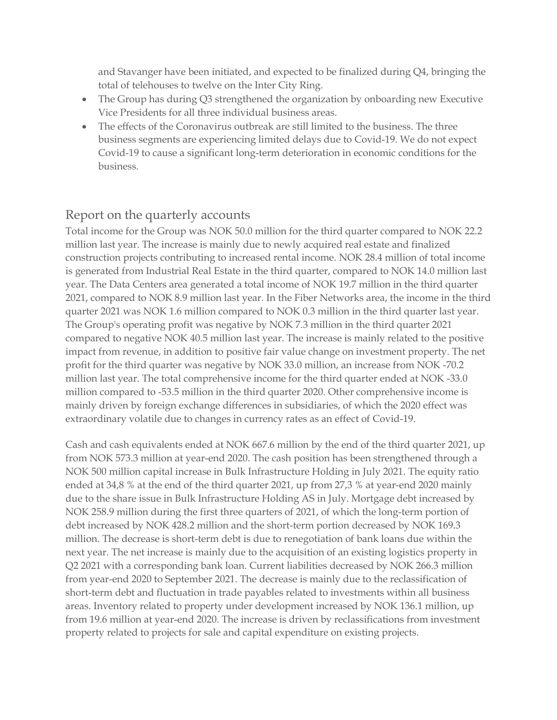and Stavanger have been initiated, and expected to be finalized during Q4, bringing the total of telehouses to twelve on the Inter City Ring.

- The Group has during Q3 strengthened the organization by onboarding new Executive Vice Presidents for all three individual business areas.
- The effects of the Coronavirus outbreak are still limited to the business. The three business segments are experiencing limited delays due to Covid-19. We do not expect Covid-19 to cause a significant long-term deterioration in economic conditions for the business.

# Report on the quarterly accounts

Total income for the Group was NOK 50.0 million for the third quarter compared to NOK 22.2 million last year. The increase is mainly due to newly acquired real estate and finalized construction projects contributing to increased rental income. NOK 28.4 million of total income is generated from Industrial Real Estate in the third quarter, compared to NOK 14.0 million last year. The Data Centers area generated a total income of NOK 19.7 million in the third quarter 2021, compared to NOK 8.9 million last year. In the Fiber Networks area, the income in the third quarter 2021 was NOK 1.6 million compared to NOK 0.3 million in the third quarter last year. The Group's operating profit was negative by NOK 7.3 million in the third quarter 2021 compared to negative NOK 40.5 million last year. The increase is mainly related to the positive impact from revenue, in addition to positive fair value change on investment property. The net profit for the third quarter was negative by NOK 33.0 million, an increase from NOK -70.2 million last year. The total comprehensive income for the third quarter ended at NOK -33.0 million compared to -53.5 million in the third quarter 2020. Other comprehensive income is mainly driven by foreign exchange differences in subsidiaries, of which the 2020 effect was extraordinary volatile due to changes in currency rates as an effect of Covid-19.

Cash and cash equivalents ended at NOK 667.6 million by the end of the third quarter 2021, up from NOK 573.3 million at year-end 2020. The cash position has been strengthened through a NOK 500 million capital increase in Bulk Infrastructure Holding in July 2021. The equity ratio ended at 34,8 % at the end of the third quarter 2021, up from 27,3 % at year-end 2020 mainly due to the share issue in Bulk Infrastructure Holding AS in July. Mortgage debt increased by NOK 258.9 million during the first three quarters of 2021, of which the long-term portion of debt increased by NOK 428.2 million and the short-term portion decreased by NOK 169.3 million. The decrease is short-term debt is due to renegotiation of bank loans due within the next year. The net increase is mainly due to the acquisition of an existing logistics property in Q2 2021 with a corresponding bank loan. Current liabilities decreased by NOK 266.3 million from year-end 2020 to September 2021. The decrease is mainly due to the reclassification of short-term debt and fluctuation in trade payables related to investments within all business areas. Inventory related to property under development increased by NOK 136.1 million, up from 19.6 million at year-end 2020. The increase is driven by reclassifications from investment property related to projects for sale and capital expenditure on existing projects.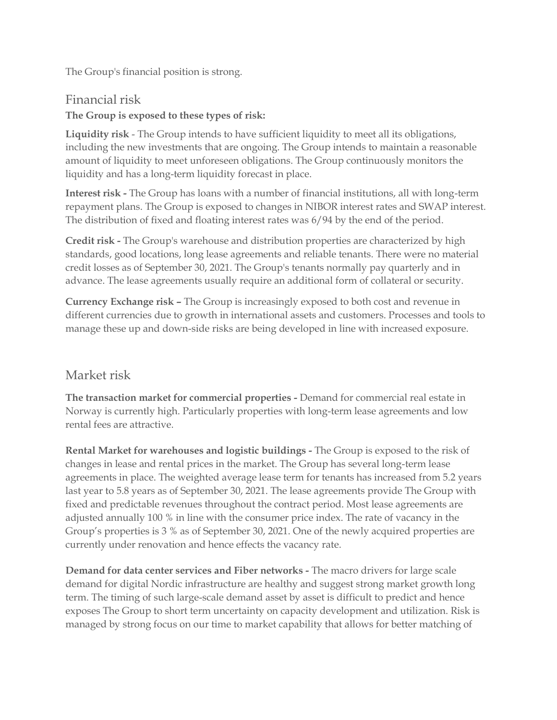The Group's financial position is strong.

Financial risk **The Group is exposed to these types of risk:** 

**Liquidity risk** - The Group intends to have sufficient liquidity to meet all its obligations, including the new investments that are ongoing. The Group intends to maintain a reasonable amount of liquidity to meet unforeseen obligations. The Group continuously monitors the liquidity and has a long-term liquidity forecast in place.

**Interest risk -** The Group has loans with a number of financial institutions, all with long-term repayment plans. The Group is exposed to changes in NIBOR interest rates and SWAP interest. The distribution of fixed and floating interest rates was 6/94 by the end of the period.

**Credit risk -** The Group's warehouse and distribution properties are characterized by high standards, good locations, long lease agreements and reliable tenants. There were no material credit losses as of September 30, 2021. The Group's tenants normally pay quarterly and in advance. The lease agreements usually require an additional form of collateral or security.

**Currency Exchange risk –** The Group is increasingly exposed to both cost and revenue in different currencies due to growth in international assets and customers. Processes and tools to manage these up and down-side risks are being developed in line with increased exposure.

# Market risk

**The transaction market for commercial properties -** Demand for commercial real estate in Norway is currently high. Particularly properties with long-term lease agreements and low rental fees are attractive.

**Rental Market for warehouses and logistic buildings -** The Group is exposed to the risk of changes in lease and rental prices in the market. The Group has several long-term lease agreements in place. The weighted average lease term for tenants has increased from 5.2 years last year to 5.8 years as of September 30, 2021. The lease agreements provide The Group with fixed and predictable revenues throughout the contract period. Most lease agreements are adjusted annually 100 % in line with the consumer price index. The rate of vacancy in the Group's properties is 3 % as of September 30, 2021. One of the newly acquired properties are currently under renovation and hence effects the vacancy rate.

**Demand for data center services and Fiber networks -** The macro drivers for large scale demand for digital Nordic infrastructure are healthy and suggest strong market growth long term. The timing of such large-scale demand asset by asset is difficult to predict and hence exposes The Group to short term uncertainty on capacity development and utilization. Risk is managed by strong focus on our time to market capability that allows for better matching of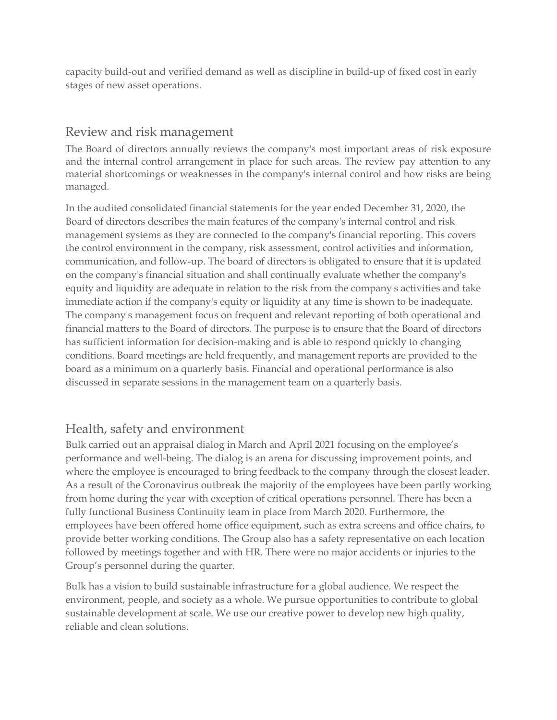capacity build-out and verified demand as well as discipline in build-up of fixed cost in early stages of new asset operations.

# Review and risk management

The Board of directors annually reviews the company's most important areas of risk exposure and the internal control arrangement in place for such areas. The review pay attention to any material shortcomings or weaknesses in the company's internal control and how risks are being managed.

In the audited consolidated financial statements for the year ended December 31, 2020, the Board of directors describes the main features of the company's internal control and risk management systems as they are connected to the company's financial reporting. This covers the control environment in the company, risk assessment, control activities and information, communication, and follow-up. The board of directors is obligated to ensure that it is updated on the company's financial situation and shall continually evaluate whether the company's equity and liquidity are adequate in relation to the risk from the company's activities and take immediate action if the company's equity or liquidity at any time is shown to be inadequate. The company's management focus on frequent and relevant reporting of both operational and financial matters to the Board of directors. The purpose is to ensure that the Board of directors has sufficient information for decision-making and is able to respond quickly to changing conditions. Board meetings are held frequently, and management reports are provided to the board as a minimum on a quarterly basis. Financial and operational performance is also discussed in separate sessions in the management team on a quarterly basis.

# Health, safety and environment

Bulk carried out an appraisal dialog in March and April 2021 focusing on the employee's performance and well-being. The dialog is an arena for discussing improvement points, and where the employee is encouraged to bring feedback to the company through the closest leader. As a result of the Coronavirus outbreak the majority of the employees have been partly working from home during the year with exception of critical operations personnel. There has been a fully functional Business Continuity team in place from March 2020. Furthermore, the employees have been offered home office equipment, such as extra screens and office chairs, to provide better working conditions. The Group also has a safety representative on each location followed by meetings together and with HR. There were no major accidents or injuries to the Group's personnel during the quarter.

Bulk has a vision to build sustainable infrastructure for a global audience. We respect the environment, people, and society as a whole. We pursue opportunities to contribute to global sustainable development at scale. We use our creative power to develop new high quality, reliable and clean solutions.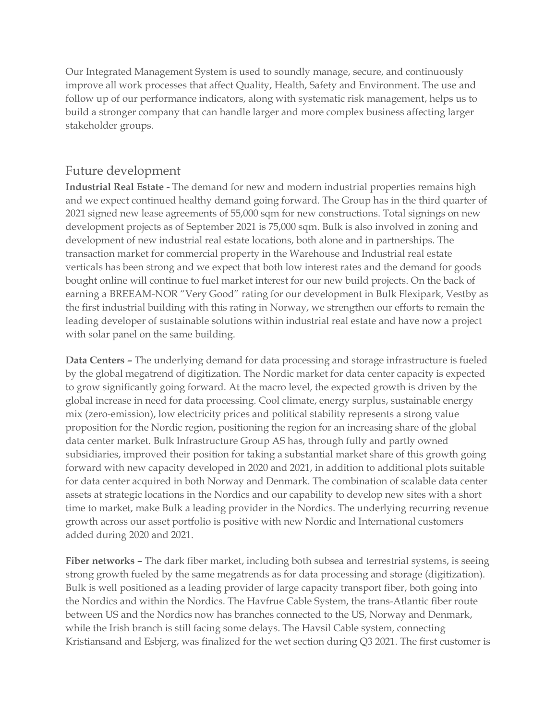Our Integrated Management System is used to soundly manage, secure, and continuously improve all work processes that affect Quality, Health, Safety and Environment. The use and follow up of our performance indicators, along with systematic risk management, helps us to build a stronger company that can handle larger and more complex business affecting larger stakeholder groups.

# Future development

**Industrial Real Estate -** The demand for new and modern industrial properties remains high and we expect continued healthy demand going forward. The Group has in the third quarter of 2021 signed new lease agreements of 55,000 sqm for new constructions. Total signings on new development projects as of September 2021 is 75,000 sqm. Bulk is also involved in zoning and development of new industrial real estate locations, both alone and in partnerships. The transaction market for commercial property in the Warehouse and Industrial real estate verticals has been strong and we expect that both low interest rates and the demand for goods bought online will continue to fuel market interest for our new build projects. On the back of earning a BREEAM-NOR "Very Good" rating for our development in Bulk Flexipark, Vestby as the first industrial building with this rating in Norway, we strengthen our efforts to remain the leading developer of sustainable solutions within industrial real estate and have now a project with solar panel on the same building.

**Data Centers –** The underlying demand for data processing and storage infrastructure is fueled by the global megatrend of digitization. The Nordic market for data center capacity is expected to grow significantly going forward. At the macro level, the expected growth is driven by the global increase in need for data processing. Cool climate, energy surplus, sustainable energy mix (zero-emission), low electricity prices and political stability represents a strong value proposition for the Nordic region, positioning the region for an increasing share of the global data center market. Bulk Infrastructure Group AS has, through fully and partly owned subsidiaries, improved their position for taking a substantial market share of this growth going forward with new capacity developed in 2020 and 2021, in addition to additional plots suitable for data center acquired in both Norway and Denmark. The combination of scalable data center assets at strategic locations in the Nordics and our capability to develop new sites with a short time to market, make Bulk a leading provider in the Nordics. The underlying recurring revenue growth across our asset portfolio is positive with new Nordic and International customers added during 2020 and 2021.

**Fiber networks –** The dark fiber market, including both subsea and terrestrial systems, is seeing strong growth fueled by the same megatrends as for data processing and storage (digitization). Bulk is well positioned as a leading provider of large capacity transport fiber, both going into the Nordics and within the Nordics. The Havfrue Cable System, the trans-Atlantic fiber route between US and the Nordics now has branches connected to the US, Norway and Denmark, while the Irish branch is still facing some delays. The Havsil Cable system, connecting Kristiansand and Esbjerg, was finalized for the wet section during Q3 2021. The first customer is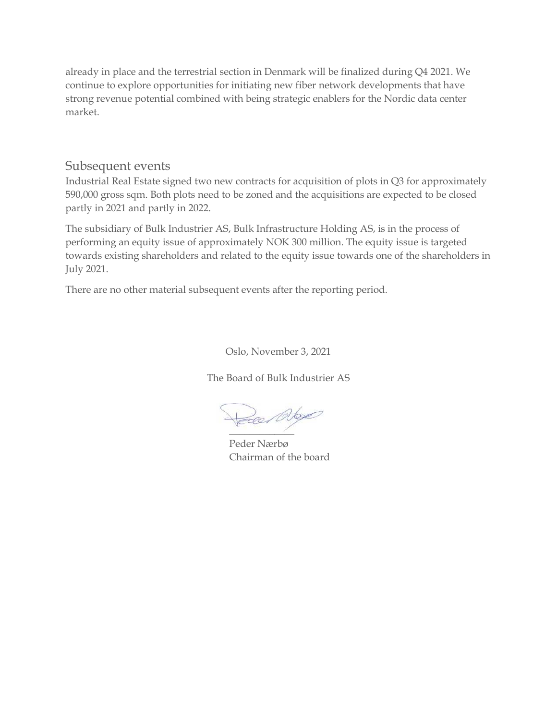already in place and the terrestrial section in Denmark will be finalized during Q4 2021. We continue to explore opportunities for initiating new fiber network developments that have strong revenue potential combined with being strategic enablers for the Nordic data center market.

## Subsequent events

Industrial Real Estate signed two new contracts for acquisition of plots in Q3 for approximately 590,000 gross sqm. Both plots need to be zoned and the acquisitions are expected to be closed partly in 2021 and partly in 2022.

The subsidiary of Bulk Industrier AS, Bulk Infrastructure Holding AS, is in the process of performing an equity issue of approximately NOK 300 million. The equity issue is targeted towards existing shareholders and related to the equity issue towards one of the shareholders in July 2021.

There are no other material subsequent events after the reporting period.

Oslo, November 3, 2021

The Board of Bulk Industrier AS

\_\_\_\_\_\_\_\_\_\_\_\_\_

Peder Nærbø Chairman of the board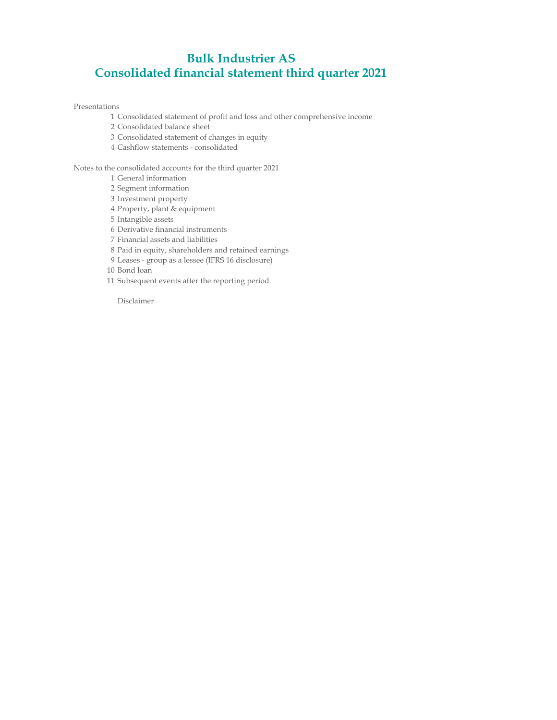# Bulk Industrier AS Consolidated financial statement third quarter 2021

Presentations

- 1 Consolidated statement of profit and loss and other comprehensive income
- 2 Consolidated balance sheet
- 3 Consolidated statement of changes in equity
- 4 Cashflow statements consolidated

Notes to the consolidated accounts for the third quarter 2021

- 1 General information
- 2 Segment information
- 3 Investment property
- 4 Property, plant & equipment
- 5 Intangible assets
- 6 Derivative financial instruments
- 7 Financial assets and liabilities
- 8 Paid in equity, shareholders and retained earnings
- 9 Leases group as a lessee (IFRS 16 disclosure)
- 10 Bond loan
- 11 Subsequent events after the reporting period

Disclaimer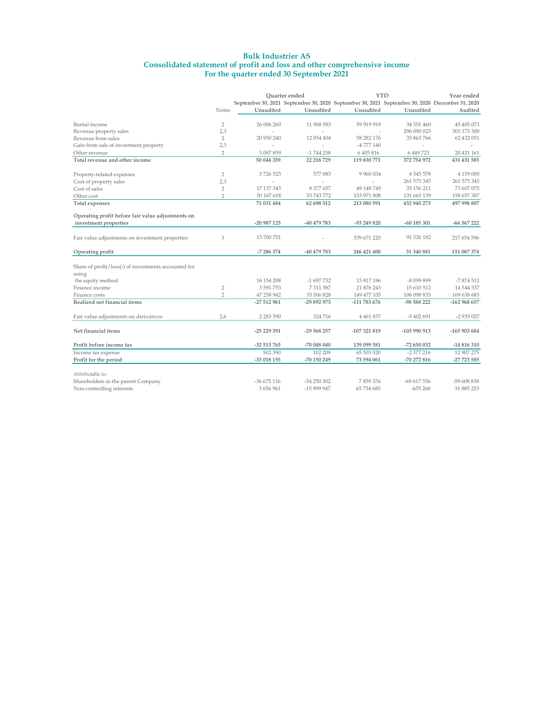### Bulk Industrier AS Consolidated statement of profit and loss and other comprehensive income For the quarter ended 30 September 2021

|                                                      |                |               | Ouarter ended                                                                                 |                          | <b>YTD</b>    | Year ended   |
|------------------------------------------------------|----------------|---------------|-----------------------------------------------------------------------------------------------|--------------------------|---------------|--------------|
|                                                      |                |               | September 30, 2021 September 30, 2020 September 30, 2021 September 30, 2020 December 31, 2020 |                          |               |              |
|                                                      | <b>Notes</b>   | Unaudited     | Unaudited                                                                                     | Unaudited                | Unaudited     | Audited      |
| Rental income                                        | $\overline{2}$ | 26 006 260    | 11 908 583                                                                                    | 59 919 919               | 34 351 460    | 45 405 073   |
| Revenue property sales                               | 2,3            |               |                                                                                               |                          | 296 090 023   | 303 173 300  |
| Revenue from sales                                   | $\overline{2}$ | 20 950 240    | 12 054 404                                                                                    | 58 282 176               | 35 863 766    | 62 432 051   |
| Gain from sale of investment property                | 2,3            |               |                                                                                               | -4 777 140               |               |              |
| Other revenue                                        | $\overline{2}$ | 3 087 859     | $-1744258$                                                                                    | 6 405 816                | 6 449 723     | 20 421 161   |
| Total revenue and other income                       |                | 50 044 359    | 22 218 729                                                                                    | 119 830 771              | 372 754 972   | 431 431 585  |
| Property-related expenses                            | $\overline{2}$ | 3726523       | 577 083                                                                                       | 9 9 6 0 0 3 4            | 4 5 4 5 5 7 8 | 4 159 000    |
| Cost of property sales                               | 2,3            | ÷             |                                                                                               | $\overline{\phantom{a}}$ | 261 575 345   | 261 575 345  |
| Cost of sales                                        | $\overline{2}$ | 17 137 343    | 8 377 657                                                                                     | 49 148 749               | 35 156 211    | 73 607 075   |
| Other cost                                           | $\overline{2}$ | 50 167 618    | 53 743 772                                                                                    | 153 971 808              | 131 663 139   | 158 657 387  |
| <b>Total expenses</b>                                |                | 71 031 484    | 62 698 512                                                                                    | 213 080 591              | 432 940 273   | 497 998 807  |
| Operating profit before fair value adjustments on    |                |               |                                                                                               |                          |               |              |
| investment properties                                |                | -20 987 125   | -40 479 783                                                                                   | -93 249 820              | $-60$ 185 301 | $-66567222$  |
| Fair value adjustments on investment properties      | 3              | 13 700 751    |                                                                                               | 339 671 220              | 91 526 182    | 217 654 596  |
| Operating profit                                     |                | -7 286 374    | -40 479 783                                                                                   | 246 421 400              | 31 340 881    | 151 087 374  |
| Share of profit/loss(-) of investments accounted for |                |               |                                                                                               |                          |               |              |
| using                                                |                |               |                                                                                               |                          |               |              |
| the equity method                                    |                | 16 154 208    | -1 697 732                                                                                    | 15 817 186               | -8 099 899    | $-7874511$   |
| Finance income                                       | $\overline{2}$ | 3 591 753     | 7 311 587                                                                                     | 21 876 243               | 15 610 512    | 14 544 537   |
| Finance costs                                        | $\overline{2}$ | 47 258 942    | 35 506 828                                                                                    | 149 477 105              | 106 098 835   | 169 638 683  |
| Realized net financial items                         |                | $-27512981$   | -29 892 973                                                                                   | -111 783 676             | -98 588 222   | $-162968657$ |
| Fair value adjustments on derivatives                | 2,6            | 2 2 8 3 5 9 0 | 324 716                                                                                       | 4 4 6 1 8 5 7            | $-5402691$    | $-2935027$   |
| Net financial items                                  |                | $-25229391$   | -29 568 257                                                                                   | -107 321 819             | -103 990 913  | -165 903 684 |
| Profit before income tax                             |                | $-32515765$   | -70 048 040                                                                                   | 139 099 581              | -72 650 032   | -14 816 310  |
| Income tax expense                                   |                | 502 390       | 102 209                                                                                       | 65 505 520               | $-2377216$    | 12 907 275   |
| Profit for the period                                |                | -33 018 155   | -70 150 249                                                                                   | 73 594 061               | $-70272816$   | -27 723 585  |
| Attributable to:                                     |                |               |                                                                                               |                          |               |              |
| Shareholders in the parent Company                   |                | $-36675116$   | $-54250302$                                                                                   | 7859376                  | $-69617556$   | -59 608 838  |
| Non-controlling interests                            |                | 3 656 961     | -15 899 947                                                                                   | 65 734 685               | $-655260$     | 31 885 253   |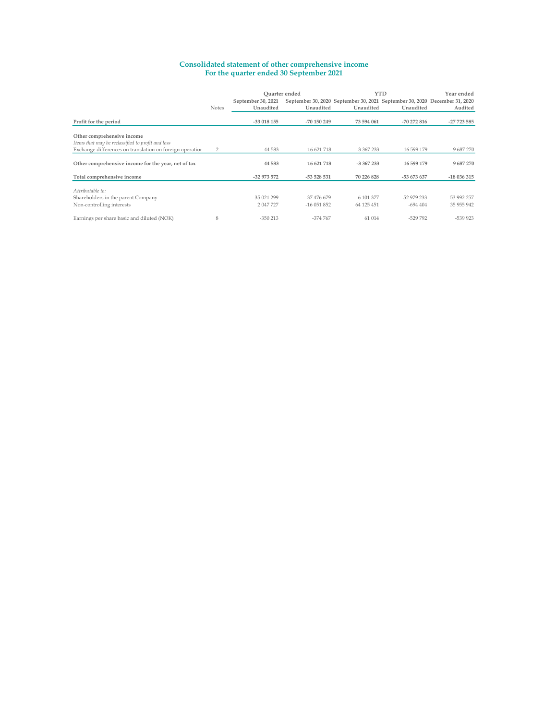### Consolidated statement of other comprehensive income For the quarter ended 30 September 2021

|                                                          |              |                    | Ouarter ended |            | <b>YTD</b>                                                                 |             |  |  |  |
|----------------------------------------------------------|--------------|--------------------|---------------|------------|----------------------------------------------------------------------------|-------------|--|--|--|
|                                                          |              | September 30, 2021 |               |            | September 30, 2020 September 30, 2021 September 30, 2020 December 31, 2020 |             |  |  |  |
|                                                          | <b>Notes</b> | Unaudited          | Unaudited     | Unaudited  | Unaudited                                                                  | Audited     |  |  |  |
|                                                          |              |                    |               |            |                                                                            |             |  |  |  |
| Profit for the period                                    |              | $-33018155$        | -70 150 249   | 73 594 061 | $-70272816$                                                                | $-27723585$ |  |  |  |
|                                                          |              |                    |               |            |                                                                            |             |  |  |  |
| Other comprehensive income                               |              |                    |               |            |                                                                            |             |  |  |  |
| Items that may be reclassified to profit and loss        |              |                    |               |            |                                                                            |             |  |  |  |
| Exchange differences on translation on foreign operation | 2            | 44 5 83            | 16 621 718    | $-3367233$ | 16 599 179                                                                 | 9 687 270   |  |  |  |
|                                                          |              |                    |               |            |                                                                            |             |  |  |  |
| Other comprehensive income for the year, net of tax      |              | 44 5 83            | 16 621 718    | $-3367233$ | 16 599 179                                                                 | 9687270     |  |  |  |
| Total comprehensive income                               |              | -32 973 572        | -53 528 531   | 70 226 828 | -53 673 637                                                                | $-18036315$ |  |  |  |
|                                                          |              |                    |               |            |                                                                            |             |  |  |  |
| Attributable to:                                         |              |                    |               |            |                                                                            |             |  |  |  |
| Shareholders in the parent Company                       |              | $-35021299$        | -37 476 679   | 6 101 377  | -52 979 233                                                                | -53 992 257 |  |  |  |
| Non-controlling interests                                |              | 2 047 727          | $-16051852$   | 64 125 451 | $-694404$                                                                  | 35 955 942  |  |  |  |
| Earnings per share basic and diluted (NOK)               | 8            | $-350213$          | $-374.767$    | 61 014     | $-529792$                                                                  | $-539923$   |  |  |  |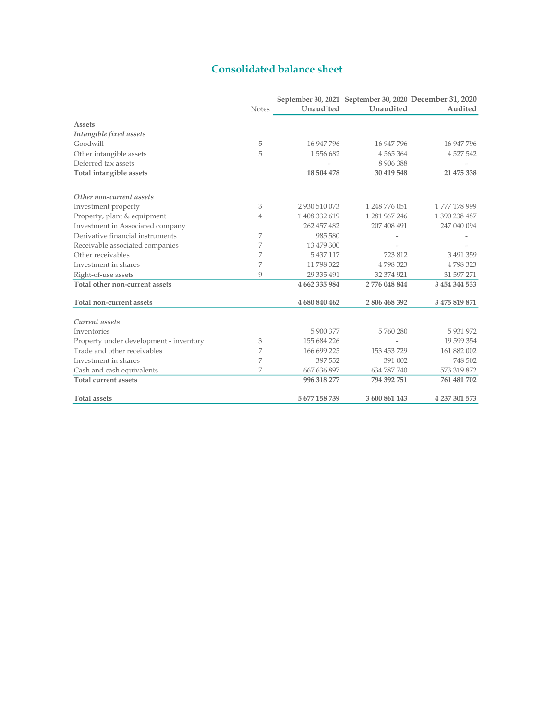# Consolidated balance sheet

|                                        | <b>Notes</b> | Unaudited     | Unaudited     | September 30, 2021 September 30, 2020 December 31, 2020<br>Audited |
|----------------------------------------|--------------|---------------|---------------|--------------------------------------------------------------------|
|                                        |              |               |               |                                                                    |
| Assets                                 |              |               |               |                                                                    |
| Intangible fixed assets                |              |               |               |                                                                    |
| Goodwill                               | 5            | 16 947 796    | 16 947 796    | 16 947 796                                                         |
| Other intangible assets                | 5            | 1556682       | 4 5 6 5 3 6 4 | 4 5 2 7 5 4 2                                                      |
| Deferred tax assets                    |              |               | 8 906 388     |                                                                    |
| Total intangible assets                |              | 18 504 478    | 30 419 548    | 21 475 338                                                         |
| Other non-current assets               |              |               |               |                                                                    |
| Investment property                    | 3            | 2 930 510 073 | 1 248 776 051 | 1777 178 999                                                       |
| Property, plant & equipment            | 4            | 1 408 332 619 | 1 281 967 246 | 1 390 238 487                                                      |
| Investment in Associated company       |              | 262 457 482   | 207 408 491   | 247 040 094                                                        |
| Derivative financial instruments       | 7            | 985 580       |               |                                                                    |
| Receivable associated companies        | 7            | 13 479 300    |               |                                                                    |
| Other receivables                      | 7            | 5 437 117     | 723812        | 3 491 359                                                          |
| Investment in shares                   | 7            | 11 798 322    | 4798323       | 4798323                                                            |
| Right-of-use assets                    | Q            | 29 335 491    | 32 374 921    | 31 597 271                                                         |
| Total other non-current assets         |              | 4 662 335 984 | 2 776 048 844 | 3 454 344 533                                                      |
| Total non-current assets               |              | 4 680 840 462 | 2806468392    | 3 475 819 871                                                      |
| Current assets                         |              |               |               |                                                                    |
| Inventories                            |              | 5 900 377     | 5760280       | 5 931 972                                                          |
| Property under development - inventory | 3            | 155 684 226   |               | 19 599 354                                                         |
| Trade and other receivables            | 7            | 166 699 225   | 153 453 729   | 161 882 002                                                        |
| Investment in shares                   | 7            | 397 552       | 391 002       | 748 502                                                            |
| Cash and cash equivalents              | 7            | 667 636 897   | 634 787 740   | 573 319 872                                                        |
| <b>Total current assets</b>            |              | 996 318 277   | 794 392 751   | 761 481 702                                                        |
| <b>Total assets</b>                    |              | 5 677 158 739 | 3 600 861 143 | 4 237 301 573                                                      |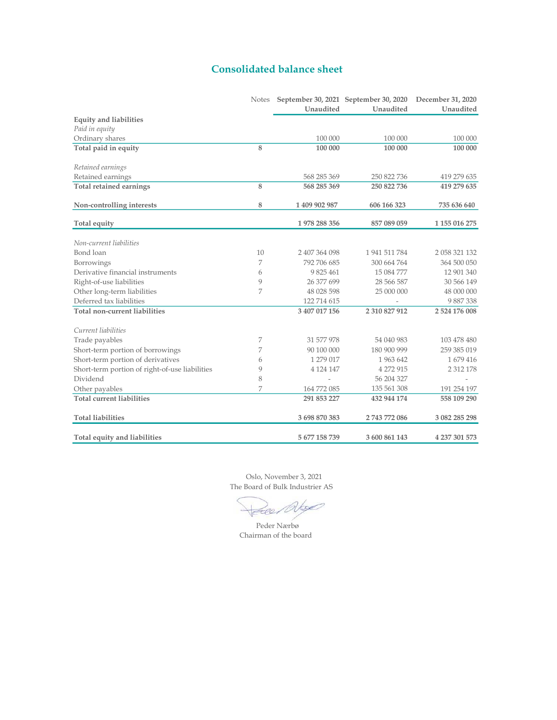# Consolidated balance sheet

|                                                | Notes | September 30, 2021 September 30, 2020 |               | December 31, 2020 |
|------------------------------------------------|-------|---------------------------------------|---------------|-------------------|
|                                                |       | Unaudited                             | Unaudited     | Unaudited         |
| <b>Equity and liabilities</b>                  |       |                                       |               |                   |
| Paid in equity                                 |       |                                       |               |                   |
| Ordinary shares                                |       | 100 000                               | 100 000       | 100 000           |
| Total paid in equity                           | 8     | 100 000                               | 100 000       | 100 000           |
| Retained earnings                              |       |                                       |               |                   |
| Retained earnings                              |       | 568 285 369                           | 250 822 736   | 419 279 635       |
| <b>Total retained earnings</b>                 | 8     | 568 285 369                           | 250 822 736   | 419 279 635       |
| Non-controlling interests                      | 8     | 1 409 902 987                         | 606 166 323   | 735 636 640       |
| Total equity                                   |       | 1978 288 356                          | 857 089 059   | 1 155 016 275     |
| Non-current liabilities                        |       |                                       |               |                   |
| Bond loan                                      | 10    | 2 407 364 098                         | 1 941 511 784 | 2 058 321 132     |
| Borrowings                                     | 7     | 792 706 685                           | 300 664 764   | 364 500 050       |
| Derivative financial instruments               | 6     | 9 825 461                             | 15 084 777    | 12 901 340        |
| Right-of-use liabilities                       | 9     | 26 377 699                            | 28 566 587    | 30 566 149        |
| Other long-term liabilities                    | 7     | 48 028 598                            | 25 000 000    | 48 000 000        |
| Deferred tax liabilities                       |       | 122 714 615                           |               | 9887338           |
| <b>Total non-current liabilities</b>           |       | 3 407 017 156                         | 2 310 827 912 | 2 524 176 008     |
| Current liabilities                            |       |                                       |               |                   |
| Trade payables                                 | 7     | 31 577 978                            | 54 040 983    | 103 478 480       |
| Short-term portion of borrowings               | 7     | 90 100 000                            | 180 900 999   | 259 385 019       |
| Short-term portion of derivatives              | 6     | 1 279 017                             | 1963 642      | 1679416           |
| Short-term portion of right-of-use liabilities | 9     | 4 124 147                             | 4 272 915     | 2 3 1 2 1 7 8     |
| Dividend                                       | 8     |                                       | 56 204 327    |                   |
| Other payables                                 | 7     | 164 772 085                           | 135 561 308   | 191 254 197       |
| <b>Total current liabilities</b>               |       | 291 853 227                           | 432 944 174   | 558 109 290       |
| <b>Total liabilities</b>                       |       | 3 698 870 383                         | 2 743 772 086 | 3 082 285 298     |
| Total equity and liabilities                   |       | 5 677 158 739                         | 3 600 861 143 | 4 237 301 573     |

 Oslo, November 3, 2021 The Board of Bulk Industrier AS

 $\infty$ Felle.

Chairman of the board Peder Nærbø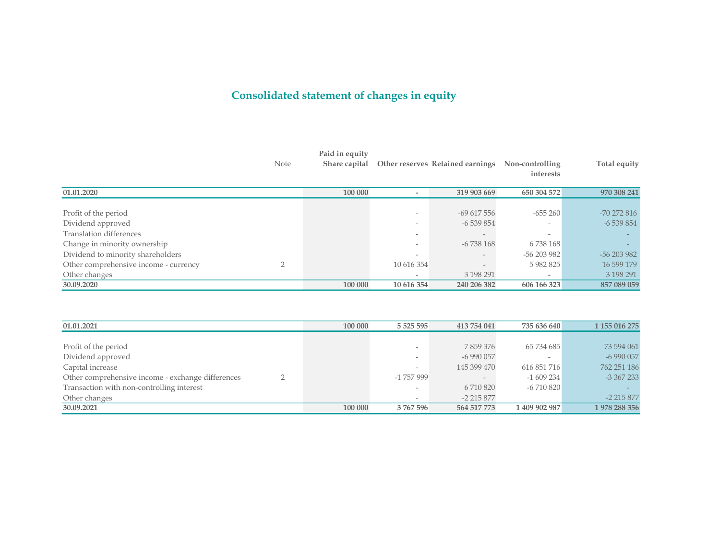# Consolidated statement of changes in equity

|                                       | Note | Paid in equity<br>Share capital |                          | <b>Other reserves Retained earnings</b> | Non-controlling<br>interests | Total equity |
|---------------------------------------|------|---------------------------------|--------------------------|-----------------------------------------|------------------------------|--------------|
| 01.01.2020                            |      | 100 000                         | $\overline{\phantom{a}}$ | 319 903 669                             | 650 304 572                  | 970 308 241  |
|                                       |      |                                 |                          |                                         |                              |              |
| Profit of the period                  |      |                                 | $\overline{\phantom{a}}$ | $-69617556$                             | $-655260$                    | $-70272816$  |
| Dividend approved                     |      |                                 | -                        | $-6539854$                              |                              | $-6539854$   |
| Translation differences               |      |                                 | $\overline{\phantom{a}}$ | $\overline{\phantom{a}}$                |                              |              |
| Change in minority ownership          |      |                                 | $\overline{\phantom{0}}$ | $-6738168$                              | 6738168                      |              |
| Dividend to minority shareholders     |      |                                 | $\overline{\phantom{a}}$ | $-$                                     | $-56203982$                  | $-56203982$  |
| Other comprehensive income - currency |      |                                 | 10 616 354               | $\qquad \qquad -$                       | 5 982 825                    | 16 599 179   |
| Other changes                         |      |                                 | $\overline{\phantom{0}}$ | 3 198 291                               |                              | 3 198 291    |
| 30.09.2020                            |      | 100 000                         | 10 616 354               | 240 206 382                             | 606 166 323                  | 857 089 059  |

| 01.01.2021                                        | 100 000 | 5 5 25 5 95              | 413 754 041 | 735 636 640   | 1 155 016 275 |
|---------------------------------------------------|---------|--------------------------|-------------|---------------|---------------|
|                                                   |         |                          |             |               |               |
| Profit of the period                              |         | $\overline{\phantom{a}}$ | 7859376     | 65 734 685    | 73 594 061    |
| Dividend approved                                 |         | $\sim$                   | $-6990057$  |               | $-6990057$    |
| Capital increase                                  |         | -                        | 145 399 470 | 616 851 716   | 762 251 186   |
| Other comprehensive income - exchange differences |         | -1 757 999               |             | $-1609234$    | $-3,367,233$  |
| Transaction with non-controlling interest         |         | $\overline{\phantom{a}}$ | 6 710 820   | $-6710820$    |               |
| Other changes                                     |         | $\overline{\phantom{a}}$ | $-2215877$  |               | $-2$ 215 877  |
| 30.09.2021                                        | 100 000 | 3767596                  | 564 517 773 | 1 409 902 987 | 1978 288 356  |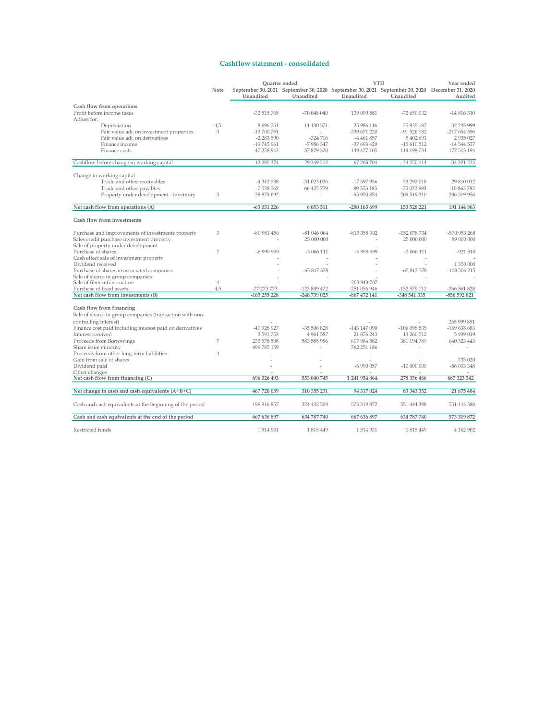### Cashflow statement - consolidated

|                                                          |                | Quarter ended           |              |                            | <b>YTD</b>                                                                                                 | Year ended                    |
|----------------------------------------------------------|----------------|-------------------------|--------------|----------------------------|------------------------------------------------------------------------------------------------------------|-------------------------------|
|                                                          | Note           | Unaudited               | Unaudited    | Unaudited                  | September 30, 2021 September 30, 2020 September 30, 2021 September 30, 2020 December 31, 2020<br>Unaudited | Audited                       |
| Cash flow from operations                                |                |                         |              |                            |                                                                                                            |                               |
| Profit before income taxes                               |                | $-32515765$             | $-70048040$  | 139 099 581                | -72 650 032                                                                                                | $-14816310$                   |
| Adjust for:                                              |                |                         |              |                            |                                                                                                            |                               |
| Depreciation                                             | 4,5            | 8 696 751               | 11 130 571   | 25 986 116                 | 25 935 187                                                                                                 | 32 245 999                    |
| Fair value adj. on investment properties                 | 3              | -13 700 751             |              | -339 671 220               | $-91526182$                                                                                                | -217 654 596                  |
| Fair value adj. on derivatives                           |                | $-2283590$              | $-324716$    | -4 461 857                 | 5 402 691                                                                                                  | 2 9 3 0 2 7                   |
| Finance income                                           |                | -19 745 961             | -7986347     | -37 693 429                | $-15610512$                                                                                                | -14 544 537                   |
| Finance costs                                            |                | 47 258 942              | 37 879 320   | 149 477 105                | 114 198 734                                                                                                | 177 513 194                   |
| Cashflow before change in working capital                |                | -12 290 374             | -29 349 212  | $-67263704$                | $-34250114$                                                                                                | -34 321 223                   |
|                                                          |                |                         |              |                            |                                                                                                            |                               |
| Change in working capital                                |                |                         |              |                            |                                                                                                            |                               |
| Trade and other receivables                              |                | -4 342 598              | $-31023036$  | $-17597956$                | 53 292 018                                                                                                 | 29 810 012                    |
| Trade and other payables                                 | 3              | -7538562<br>-38 879 692 | 66 425 759   | -99 353 185<br>-95 950 854 | -75 032 993<br>209 519 310                                                                                 | $-10863782$<br>206 519 956    |
| Property under development - inventory                   |                |                         |              |                            |                                                                                                            |                               |
| Net cash flow from operations (A)                        |                | $-63051226$             | 6 053 511    | -280 165 699               | 153 528 221                                                                                                | 191 144 963                   |
| Cash flow from investments                               |                |                         |              |                            |                                                                                                            |                               |
| Purchase and improvements of investments property        | 3              | $-80981456$             | $-81046064$  | -813 358 902               | -152 078 734                                                                                               | -570 953 268                  |
| Sales credit purchase investment property                |                | ÷                       | 25 000 000   | ÷                          | 25 000 000                                                                                                 | 89 000 000                    |
| Sale of property under development                       |                |                         |              |                            |                                                                                                            |                               |
| Purchase of shares                                       | 7              | $-6999999$              | $-3066111$   | $-6999999$                 | $-3066111$                                                                                                 | $-921510$                     |
| Cash effect sale of investment property                  |                |                         |              |                            |                                                                                                            |                               |
| Dividend received                                        |                |                         |              |                            |                                                                                                            | 1 350 000                     |
| Purchase of shares in associated companies               |                |                         | $-65817378$  |                            | $-65817378$                                                                                                | $-108506215$                  |
| Sale of shares in group companies                        |                |                         |              |                            |                                                                                                            |                               |
| Sale of fiber infrastructure                             | $\overline{4}$ |                         |              | 203 943 707                |                                                                                                            |                               |
| Purchase of fixed assets                                 | 4.5            | -77 273 773             | -123 809 472 | $-251056946$               | -152 579 112                                                                                               | $-266561828$                  |
| Net cash flow from investments (B)                       |                | $-165255228$            | -248 739 025 | $-867472141$               | -348 541 335                                                                                               | -856 592 821                  |
| Cash flow from financing                                 |                |                         |              |                            |                                                                                                            |                               |
| Sale of shares in group companies (transaction with non- |                |                         |              |                            |                                                                                                            |                               |
| controlling interest)                                    |                |                         |              |                            |                                                                                                            | 265 999 891                   |
| Finance cost paid including interest paid on derivatives |                | -40 928 927             | -35 506 828  | -143 147 090               | $-106098835$                                                                                               | $-169638683$                  |
| Interest received                                        |                | 3 591 753               | 4 9 61 5 87  | 21 876 243                 | 13 260 512                                                                                                 | 5 939 019                     |
| Proceeds from Borrowings                                 | 7              | 233 578 508             | 583 585 986  | 607 964 582                | 381 194 789                                                                                                | 640 323 443                   |
| Share issue minority                                     |                | 499 785 159             |              | 762 251 186                |                                                                                                            |                               |
| Proceeds from other long-term liabilities                | $\overline{4}$ |                         |              | $\overline{\phantom{a}}$   |                                                                                                            |                               |
| Gain from sale of shares                                 |                |                         |              |                            |                                                                                                            | 733 020                       |
| Dividend paid                                            |                |                         |              | $-6990057$                 | $-10000000$                                                                                                | -56 033 348                   |
| Other changes<br>Net cash flow from financing (C)        |                | 696 026 493             | 553 040 745  | 1 241 954 864              | 278 356 466                                                                                                | $\overline{a}$<br>687 323 342 |
|                                                          |                |                         |              |                            |                                                                                                            |                               |
| Net change in cash and cash equivalents (A+B+C)          |                | 467 720 039             | 310 355 231  | 94 317 024                 | 83 343 352                                                                                                 | 21 875 484                    |
| Cash and cash equivalents at the beginning of the period |                | 199 916 857             | 324 432 509  | 573 319 872                | 551 444 388                                                                                                | 551 444 388                   |
| Cash and cash equivalents at the end of the period       |                | 667 636 897             | 634 787 740  | 667 636 897                | 634 787 740                                                                                                | 573 319 872                   |
| Restricted funds                                         |                | 1 5 1 4 9 3 1           | 1815449      | 1514931                    | 1815449                                                                                                    | 4 162 902                     |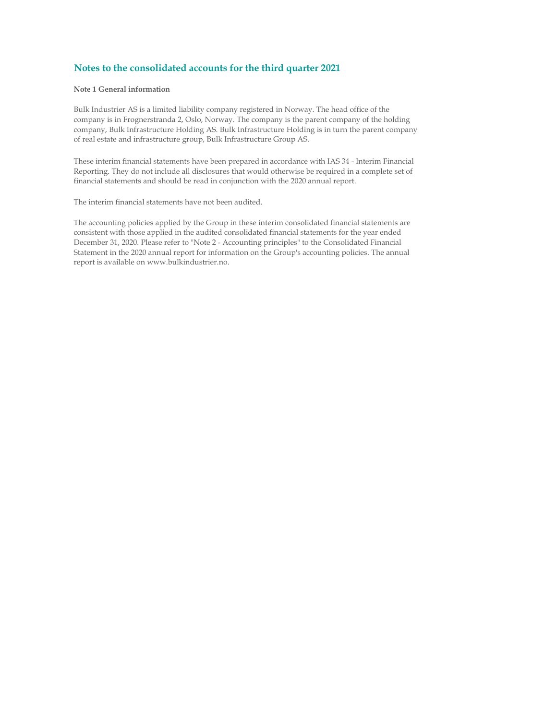### Note 1 General information

Bulk Industrier AS is a limited liability company registered in Norway. The head office of the company is in Frognerstranda 2, Oslo, Norway. The company is the parent company of the holding company, Bulk Infrastructure Holding AS. Bulk Infrastructure Holding is in turn the parent company of real estate and infrastructure group, Bulk Infrastructure Group AS.

These interim financial statements have been prepared in accordance with IAS 34 - Interim Financial Reporting. They do not include all disclosures that would otherwise be required in a complete set of financial statements and should be read in conjunction with the 2020 annual report.

The interim financial statements have not been audited.

The accounting policies applied by the Group in these interim consolidated financial statements are consistent with those applied in the audited consolidated financial statements for the year ended December 31, 2020. Please refer to "Note 2 - Accounting principles" to the Consolidated Financial Statement in the 2020 annual report for information on the Group's accounting policies. The annual report is available on www.bulkindustrier.no.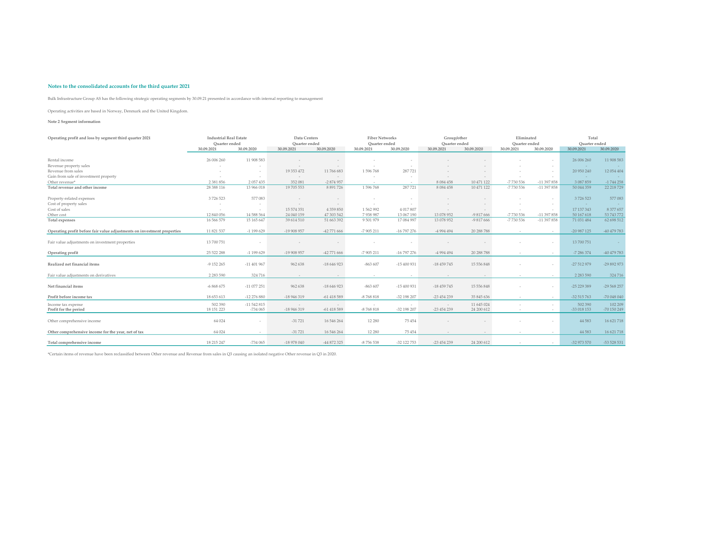Bulk Infrastructure Group AS has the following strategic operating segments by 30.09.21 presented in accordance with internal reporting to management

Operating activities are based in Norway, Denmark and the United Kingdom.

#### Note 2 Segment information

| Operating profit and loss by segment third quarter 2021                 | <b>Industrial Real Estate</b><br>Quarter ended |                          | Data Centers<br>Quarter ended |                       | <b>Fiber Networks</b><br>Quarter ended |               | Group/other<br>Quarter ended |                          | Eliminated<br>Quarter ended |                  | Total<br>Quarter ended |                        |
|-------------------------------------------------------------------------|------------------------------------------------|--------------------------|-------------------------------|-----------------------|----------------------------------------|---------------|------------------------------|--------------------------|-----------------------------|------------------|------------------------|------------------------|
|                                                                         | 30.09.2021                                     | 30.09.2020               | 30.09.2021                    | 30.09.2020            | 30.09.2021                             | 30.09.2020    | 30.09.2021                   | 30.09.2020               | 30.09.2021                  | 30,09,2020       | 30.09.2021             | 30.09.2020             |
| Rental income                                                           | 26 006 260                                     | 11 908 583               |                               |                       |                                        |               |                              |                          |                             | $\sim$           | 26 006 260             | 11 908 583             |
| Revenue property sales                                                  | $\sim$                                         | - 1                      |                               |                       | $\sim$                                 |               |                              |                          |                             | $\sim$           | $\sim$                 |                        |
| Revenue from sales                                                      |                                                | - 1                      | 19 353 472                    | 11 766 683            | 1596768                                | 287721        |                              |                          |                             | $\sim$           | 20 950 240             | 12 054 404             |
| Gain from sale of investment property                                   |                                                | - 1                      | $\sim$                        | $\sim$                |                                        | - 1           |                              |                          |                             | $\sim$           | $\sim$                 |                        |
| Other revenue*                                                          | 2 3 8 1 8 5 6                                  | 2 0 5 7 4 3 5            | 352 081                       | -2874957              | $\sim$                                 | $\sim$        | 8 0 8 4 4 5 8                | 10 471 122               | -7 730 536                  | -11 397 858      | 3 087 859              | $-1744258$             |
| Total revenue and other income                                          | 28 388 116                                     | 13 966 018               | 19 705 553                    | 8 8 9 1 7 2 6         | 1596768                                | 287721        | 8 0 8 4 4 5 8                | 10 471 122               | -7730 536                   | -11 397 858      | 50 044 359             | 22 218 729             |
| Property-related expenses                                               | 3726523                                        | 577 083                  |                               |                       |                                        |               |                              |                          |                             |                  | 3726523                | 577083                 |
| Cost of property sales                                                  |                                                | - 1                      |                               |                       | $\sim$                                 |               |                              |                          |                             | $\sim$           | $\sim$                 | $\sim 100$             |
| Cost of sales                                                           | $\overline{\phantom{a}}$                       | $\sim$                   | 15 574 351                    | 4 3 5 9 8 5 0         | 1562992                                | 4 017 807     |                              |                          |                             | $\sim$           | 17 137 343             | 8 377 657              |
| Other cost                                                              | 12 840 056                                     | 14 588 564               | 24 040 159                    | 47 303 542            | 7938987                                | 13 067 190    | 13 078 952                   | $-9817666$               | -7730 536                   | $-11397858$      | 50 167 618             | 53 743 772             |
| Total expenses                                                          | 16 566 579                                     | 15 165 647               | 39 614 510                    | 51 663 392            | 9 501 979                              | 17 084 997    | 13 078 952                   | -9 817 666               | -7 730 536                  | -11 397 858      | 71 031 484             | 62 698 512             |
| Operating profit before fair value adjustments on investment properties | 11 821 537                                     | $-1$ 199 629             | -19 908 957                   | -42 771 666           | -7 905 211                             | -16 797 276   | -4 994 494                   | 20 288 788               |                             | $\sim$           | $-20987125$            | -40 479 783            |
| Fair value adjustments on investment properties                         | 13 700 751                                     |                          |                               |                       |                                        |               |                              |                          |                             | $\sim$           | 13 700 751             | $\sim$                 |
| Operating profit                                                        | 25 522 288                                     | $-1$ 199 629             | -19 908 957                   | -42 771 666           | $-7905211$                             | $-16$ 797 276 | -4 994 494                   | 20 288 788               |                             | $\sim$           | $-7286374$             | -40 479 783            |
| Realized net financial items                                            | -9 152 265                                     | $-11401967$              | 962 638                       | -18 646 923           | $-863607$                              | $-15400931$   | $-18459745$                  | 15 556 848               |                             | $\sim$           | -27 512 979            | -29 892 973            |
| Fair value adjustments on derivatives                                   | 2 2 8 3 5 9 0                                  | 324 716                  |                               |                       | $\sim$                                 |               |                              |                          |                             | $\sim$           | 2 2 8 3 5 9 0          | 324716                 |
| Net financial items                                                     | $-6868675$                                     | $-11077251$              | 962 638                       | $-18646923$           | $-863607$                              | $-15400931$   | $-18459745$                  | 15 556 848               |                             |                  | $-25229389$            | $-29568257$            |
| Profit before income tax                                                | 18 653 613                                     | -12 276 880              | -18 946 319                   | $-61418589$           | -8768818                               | -32 198 207   | -23 454 239                  | 35 845 636               |                             | $\sim$           | -32 515 763            | -70 048 040            |
| Income tax expense<br>Profit for the period                             | 502 390<br>18 151 223                          | $-11542815$<br>$-734065$ | -18 946 319                   | $\sim$<br>$-61418589$ | $-8768818$                             | -32 198 207   | $-23454239$                  | 11 645 024<br>24 200 612 |                             | $\sim$<br>$\sim$ | 502 390<br>-33 018 153 | 102 209<br>-70 150 249 |
| Other comprehensive income                                              | 64 024                                         |                          | $-31721$                      | 16 546 264            | 12 280                                 | 75 454        |                              |                          |                             | $\sim$           | 44 5 83                | 16 621 718             |
| Other comprehensive income for the year, net of tax                     | 64 024                                         |                          | $-31721$                      | 16 546 264            | 12 280                                 | 75 45 4       |                              |                          |                             | $\sim$           | 44 5 83                | 16 621 718             |
| Total comprehensive income                                              | 18 215 247                                     | $-734065$                | $-18978040$                   | -44 872 325           | -8756538                               | -32 122 753   | $-23454239$                  | 24 200 612               |                             | $\sim$           | -32 973 570            | -53 528 531            |

\*Certain items of revenue have been reclassified between Other revenue and Revenue from sales in Q3 causing an isolated negative Other revenue in Q3 in 2020.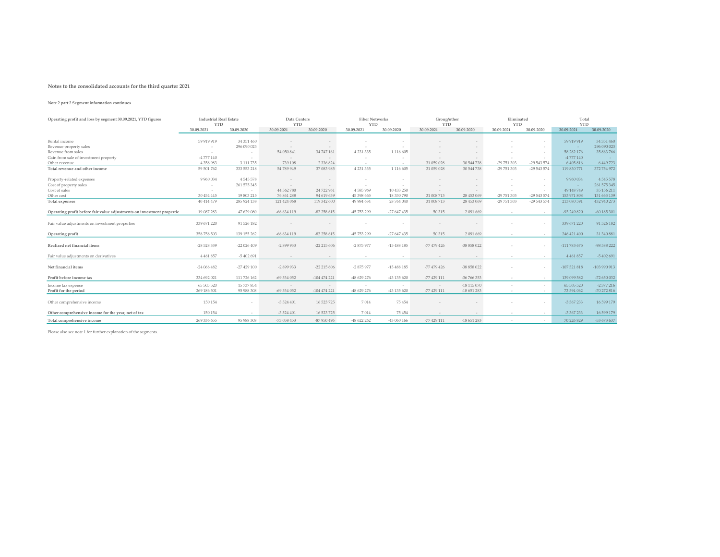#### Note 2 part 2 Segment information continues

| Operating profit and loss by segment 30.09.2021, YTD figures           | <b>Industrial Real Estate</b><br><b>YTD</b> |               | Data Centers<br><b>YTD</b> |               | <b>Fiber Networks</b><br><b>YTD</b> |               | Group/other<br><b>YTD</b> |             | Eliminated<br><b>YTD</b> |             | Total<br><b>YTD</b> |               |
|------------------------------------------------------------------------|---------------------------------------------|---------------|----------------------------|---------------|-------------------------------------|---------------|---------------------------|-------------|--------------------------|-------------|---------------------|---------------|
|                                                                        | 30,09,2021                                  | 30.09.2020    | 30.09.2021                 | 30.09.2020    | 30.09.2021                          | 30.09.2020    | 30.09.2021                | 30.09.2020  | 30.09.2021               | 30.09.2020  | 30.09.2021          | 30.09.2020    |
|                                                                        |                                             |               |                            |               |                                     |               |                           |             |                          |             |                     |               |
| Rental income                                                          | 59 919 919                                  | 34 351 460    |                            |               |                                     |               |                           |             |                          |             | 59 919 919          | 34 351 460    |
| Revenue property sales                                                 |                                             | 296 090 023   |                            |               |                                     |               |                           |             |                          |             |                     | 296 090 023   |
| Revenue from sales                                                     |                                             |               | 54 050 841                 | 34 747 161    | 4 2 3 1 3 3 5                       | 1 1 1 6 6 0 5 |                           |             |                          |             | 58 282 176          | 35 863 766    |
| Gain from sale of investment property                                  | -4 777 140                                  |               | $\sim$                     | $\sim$        |                                     |               |                           |             |                          |             | -4 777 140          |               |
| Other revenue                                                          | 4 3 5 8 9 8 3                               | 3 1 1 7 7 3 5 | 739 108                    | 2 3 3 6 8 2 4 |                                     |               | 31 059 028                | 30 544 738  | -29 751 303              | -29 543 574 | 6 405 816           | 6 449 723     |
| Total revenue and other income                                         | 59 501 762                                  | 333 553 218   | 54 789 949                 | 37 083 985    | 4 2 3 1 3 3 5                       | 1 116 605     | 31 059 028                | 30 544 738  | -29 751 303              | -29 543 574 | 119 830 771         | 372 754 972   |
| Property-related expenses                                              | 9 9 6 0 0 3 4                               | 4 5 4 5 5 7 8 |                            |               |                                     |               |                           |             |                          | $\sim$      | 9 9 6 0 0 3 4       | 4 5 4 5 5 7 8 |
| Cost of property sales                                                 | $\sim$                                      | 261 575 345   |                            |               |                                     |               |                           |             |                          |             | $\sim$              | 261 575 345   |
| Cost of sales                                                          |                                             |               | 44 562 780                 | 24 722 961    | 4585969                             | 10 433 250    |                           |             |                          | $\sim$      | 49 148 749          | 35 156 211    |
| Other cost                                                             | 30 454 445                                  | 19 803 215    | 76 861 288                 | 94 619 639    | 45 398 665                          | 18 330 790    | 31 008 713                | 28 453 069  | -29 751 303              | -29 543 574 | 153 971 808         | 131 663 139   |
| Total expenses                                                         | 40 414 479                                  | 285 924 138   | 121 424 068                | 119 342 600   | 49 984 634                          | 28 764 040    | 31 008 713                | 28 453 069  | -29 751 303              | -29 543 574 | 213 080 591         | 432 940 273   |
| Operating profit before fair value adjustments on investment propertie | 19 087 283                                  | 47 629 080    | $-66634119$                | $-82258615$   | -45 753 299                         | $-27647435$   | 50 315                    | 2091669     |                          | $\sim$      | -93 249 820         | $-60$ 185 301 |
| Fair value adjustments on investment properties                        | 339 671 220                                 | 91 526 182    |                            |               |                                     |               |                           |             |                          |             | 339 671 220         | 91 526 182    |
| Operating profit                                                       | 358 758 503                                 | 139 155 262   | $-66634119$                | $-82258615$   | -45 753 299                         | $-27647435$   | 50 315                    | 2 091 669   |                          | $\sim$      | 246 421 400         | 31 340 881    |
| Realized net financial items                                           | -28 528 339                                 | $-22026409$   | $-2899933$                 | $-22$ 215 606 | -2875977                            | $-15488185$   | $-77479426$               | -38 858 022 |                          |             | -111 783 675        | -98 588 222   |
| Fair value adjustments on derivatives                                  | 4 4 6 1 8 5 7                               | $-5402691$    |                            |               |                                     |               |                           | $\sim$      |                          | $\sim$      | 4 4 6 1 8 5 7       | -5 402 691    |
| Net financial items                                                    | $-24066482$                                 | $-27429100$   | $-2899933$                 | $-22$ 215 606 | -2 875 977                          | $-15488185$   | $-77479426$               | -38 858 022 |                          |             | $-107321818$        | $-103990913$  |
| Profit before income tax                                               | 334 692 021                                 | 111 726 162   | $-69534052$                | $-104474221$  | -48 629 276                         | -43 135 620   | $-77429111$               | $-36766353$ | $\sim$                   | $\sim$      | 139 099 582         | $-72650032$   |
| Income tax expense                                                     | 65 505 520                                  | 15 737 854    | $\sim$                     | $\sim$        |                                     |               | $\sim$                    | $-18115070$ |                          | $\sim$      | 65 505 520          | $-2377216$    |
| Profit for the period                                                  | 269 186 501                                 | 95 988 308    | -69 534 052                | $-104474221$  | -48 629 276                         | -43 135 620   | -77 429 111               | $-18651283$ |                          | $\sim$      | 73 594 062          | -70 272 816   |
| Other comprehensive income                                             | 150 154                                     |               | $-3524401$                 | 16 523 725    | 7014                                | 75454         |                           | $\sim$      |                          |             | $-3367233$          | 16 599 179    |
| Other comprehensive income for the year, net of tax                    | 150 154                                     | $\sim$        | $-3524401$                 | 16 523 725    | 7014                                | 75454         |                           |             |                          | $\sim$      | -3 367 233          | 16 599 179    |
| Total comprehensive income                                             | 269 336 655                                 | 95 988 308    | $-73058453$                | -87 950 496   | -48 622 262                         | -43 060 166   | $-77429111$               | $-18651283$ |                          | $\sim$      | 70 226 829          | -53 673 637   |

Please also see note 1 for further explanation of the segments.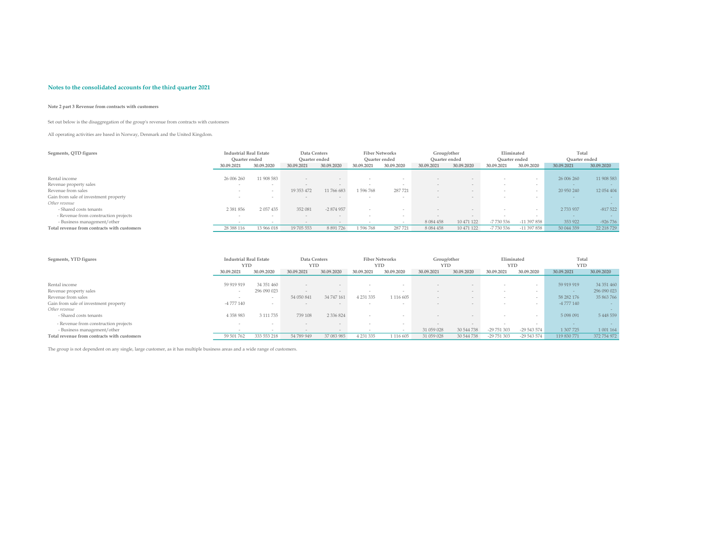### Note 2 part 3 Revenue from contracts with customers

Set out below is the disaggregation of the group's revenue from contracts with customers

All operating activities are based in Norway, Denmark and the United Kingdom.

| Segments, QTD figures                       | <b>Industrial Real Estate</b> |            | Data Centers  |            |            | <b>Fiber Networks</b> | Group/other   |            | Eliminated    |             | Total         |            |
|---------------------------------------------|-------------------------------|------------|---------------|------------|------------|-----------------------|---------------|------------|---------------|-------------|---------------|------------|
|                                             | Ouarter ended                 |            | Quarter ended |            |            | Quarter ended         | Quarter ended |            | Quarter ended |             | Ouarter ended |            |
|                                             | 30.09.2021                    | 30.09.2020 | 30.09.2021    | 30.09.2020 | 30.09.2021 | 30.09.2020            | 30.09.2021    | 30.09.2020 | 30.09.2021    | 30.09.2020  | 30.09.2021    | 30.09.2020 |
|                                             |                               |            |               |            |            |                       |               |            |               |             |               |            |
| Rental income                               | 26 006 260                    | 11 908 583 |               |            |            |                       |               |            |               |             | 26 006 260    | 11 908 583 |
| Revenue property sales                      |                               | $\sim$     |               |            | $\sim$     |                       |               |            |               |             |               |            |
| Revenue from sales                          |                               |            | 19 353 472    | 11766683   | 596 768    | 287721                |               |            |               |             | 20 950 240    | 12 054 404 |
| Gain from sale of investment property       |                               | $\sim$     |               | $\sim$     | $\sim$     |                       |               |            |               |             |               |            |
| Other revenue                               |                               |            |               |            |            |                       |               |            |               |             |               |            |
| - Shared costs tenants                      | 2 3 8 1 8 5 6                 | 2 057 435  | 352 081       | $-2874957$ | $\sim$     |                       |               |            |               |             | 2 733 937     | $-817522$  |
| - Revenue from construction projects        |                               | $\sim$     |               |            | $\sim$     |                       |               |            |               |             |               |            |
| - Business management/other                 |                               | $\sim$     |               |            |            |                       | 8 0 8 4 4 5 8 | 10 471 122 | -7 730 536    | $-11397858$ | 353 922       | $-926736$  |
| Total revenue from contracts with customers | 28 388 116                    | 13 966 018 | 19 705 553    | 8 891 726  | 596 768    | 287721                | 8 0 8 4 4 5 8 | 10 471 122 | -7 730 536    | $-11397858$ | 50 044 359    | 22 218 729 |

| Segments, YTD figures                       | <b>Industrial Real Estate</b> |                | Data Centers |               | <b>Fiber Networks</b>    |            | Group/other |            | Eliminated  |             | Total       |               |
|---------------------------------------------|-------------------------------|----------------|--------------|---------------|--------------------------|------------|-------------|------------|-------------|-------------|-------------|---------------|
|                                             | <b>YTD</b>                    |                | <b>YTD</b>   |               | <b>YTD</b>               |            | <b>YTD</b>  |            | <b>YTD</b>  |             | <b>YTD</b>  |               |
|                                             | 30.09.2021                    | 30.09.2020     | 30.09.2021   | 30.09.2020    | 30.09.2021               | 30.09.2020 | 30.09.2021  | 30.09.2020 | 30.09.2021  | 30.09.2020  | 30.09.2021  | 30.09.2020    |
|                                             |                               |                |              |               |                          |            |             |            |             |             |             |               |
| Rental income                               | 59 919 919                    | 34 351 460     |              |               |                          |            |             |            |             |             | 59 919 919  | 34 351 460    |
| Revenue property sales                      |                               | 296 090 023    |              |               |                          |            |             |            |             |             |             | 296 090 023   |
| Revenue from sales                          |                               |                | 54 050 841   | 34 747 161    | 4 231 335                | 1 116 605  |             |            |             |             | 58 282 176  | 35 863 766    |
| Gain from sale of investment property       | $-4777140$                    | $\overline{a}$ |              | $\sim$        | $\sim$                   | $\sim$     |             |            |             | $\sim$      | $-4777140$  |               |
| Other revenue                               |                               |                |              |               |                          |            |             |            |             |             |             |               |
| - Shared costs tenants                      | 4 3 5 8 9 8 3                 | 3 111 735      | 739 108      | 2 3 3 6 8 2 4 |                          |            |             |            |             |             | 5 098 091   | 5 4 4 8 5 5 9 |
| - Revenue from construction projects        |                               | -              |              | $\sim$        | $\overline{\phantom{a}}$ | $\sim$     |             |            |             | $\sim$      |             |               |
| - Business management/other                 |                               | $\sim$         |              | $\sim$        | $\sim$                   |            | 31 059 028  | 30 544 738 | -29 751 303 | $-29543574$ | 1 307 725   | 1 001 164     |
| Total revenue from contracts with customers | 59 501 762                    | 333 553 218    | 54 789 949   | 37 083 985    | 1 231 335                | 1 116 605  | 31 059 028  | 30 544 738 | -29 751 303 | $-29543574$ | 119 830 771 | 372 754 972   |

The group is not dependent on any single, large customer, as it has multiple business areas and a wide range of customers.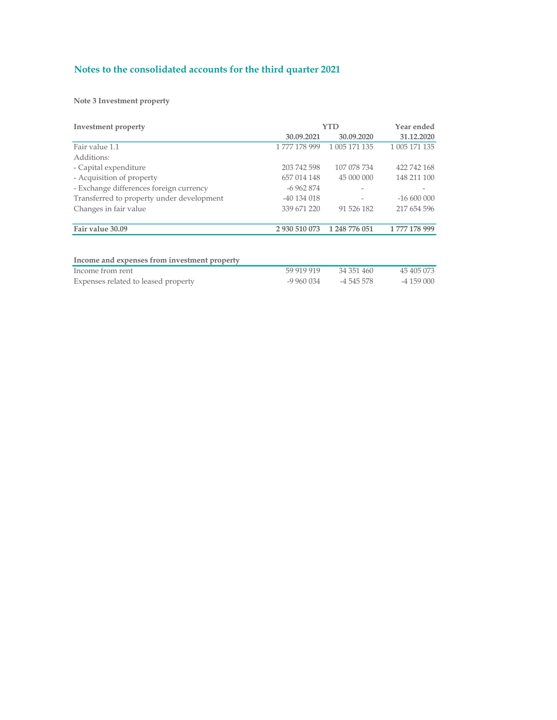Note 3 Investment property

| Investment property                          | YTD           | Year ended    |               |
|----------------------------------------------|---------------|---------------|---------------|
|                                              | 30.09.2021    | 30.09.2020    | 31.12.2020    |
| Fair value 1.1                               | 1777 178 999  | 1 005 171 135 | 1 005 171 135 |
| Additions:                                   |               |               |               |
| - Capital expenditure                        | 203 742 598   | 107 078 734   | 422 742 168   |
| - Acquisition of property                    | 657 014 148   | 45 000 000    | 148 211 100   |
| - Exchange differences foreign currency      | $-6962874$    |               |               |
| Transferred to property under development    | -40 134 018   |               | $-16600000$   |
| Changes in fair value                        | 339 671 220   | 91 526 182    | 217 654 596   |
| Fair value 30.09                             | 2 930 510 073 | 1 248 776 051 | 1777 178 999  |
| Income and expenses from investment property |               |               |               |
|                                              |               |               |               |

| Income from rent                    | 59 919 919 | 34 351 460 | 45 405 073 |
|-------------------------------------|------------|------------|------------|
| Expenses related to leased property | -9 960 034 | -4 545 578 | -4 159 000 |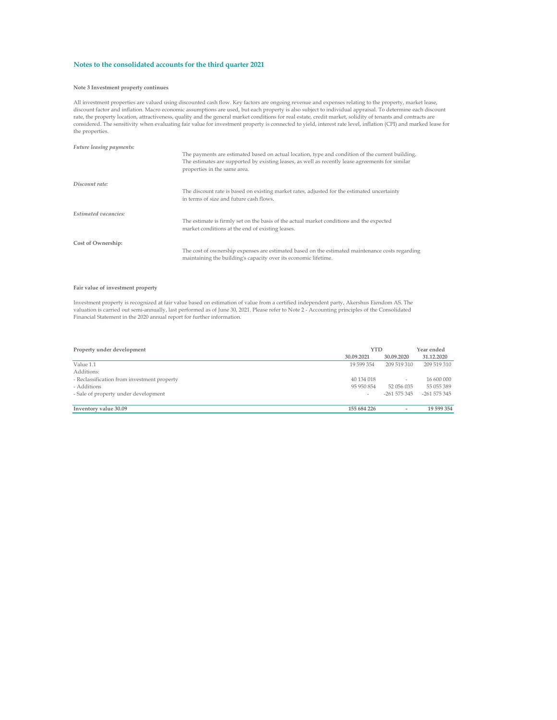#### Note 3 Investment property continues

All investment properties are valued using discounted cash flow. Key factors are ongoing revenue and expenses relating to the property, market lease,<br>discount factor and inflation. Macro economic assumptions are used, but rate, the property location, attractiveness, quality and the general market conditions for real estate, credit market, solidity of tenants and contracts are<br>considered. The sensitivity when evaluating fair value for invest the properties.

| Future leasing payments: |  |
|--------------------------|--|
|--------------------------|--|

|                             | The payments are estimated based on actual location, type and condition of the current building.<br>The estimates are supported by existing leases, as well as recently lease agreements for similar<br>properties in the same area. |
|-----------------------------|--------------------------------------------------------------------------------------------------------------------------------------------------------------------------------------------------------------------------------------|
| Discount rate:              |                                                                                                                                                                                                                                      |
|                             | The discount rate is based on existing market rates, adjusted for the estimated uncertainty<br>in terms of size and future cash flows.                                                                                               |
| <b>Estimated vacancies:</b> |                                                                                                                                                                                                                                      |
|                             | The estimate is firmly set on the basis of the actual market conditions and the expected<br>market conditions at the end of existing leases.                                                                                         |
| Cost of Ownership:          |                                                                                                                                                                                                                                      |
|                             | The cost of ownership expenses are estimated based on the estimated maintenance costs regarding<br>maintaining the building's capacity over its economic lifetime.                                                                   |

#### Fair value of investment property

Investment property is recognized at fair value based on estimation of value from a certified independent party, Akershus Eiendom AS. The<br>valuation is carried out semi-annually, last performed as of June 30, 2021. Please r Financial Statement in the 2020 annual report for further information.

| Property under development                  |             | <b>YTD</b>               |              |
|---------------------------------------------|-------------|--------------------------|--------------|
|                                             | 30.09.2021  | 30.09.2020               | 31.12.2020   |
| Value 1.1                                   | 19 599 354  | 209 519 310              | 209 519 310  |
| Additions:                                  |             |                          |              |
| - Reclassification from investment property | 40 134 018  | $\overline{\phantom{a}}$ | 16 600 000   |
| - Additions                                 | 95 950 854  | 52 056 035               | 55 055 389   |
| - Sale of property under development        | $\sim$      | $-261575345$             | $-261575345$ |
|                                             |             |                          |              |
| Inventory value 30.09                       | 155 684 226 | $\sim$                   | 19 599 354   |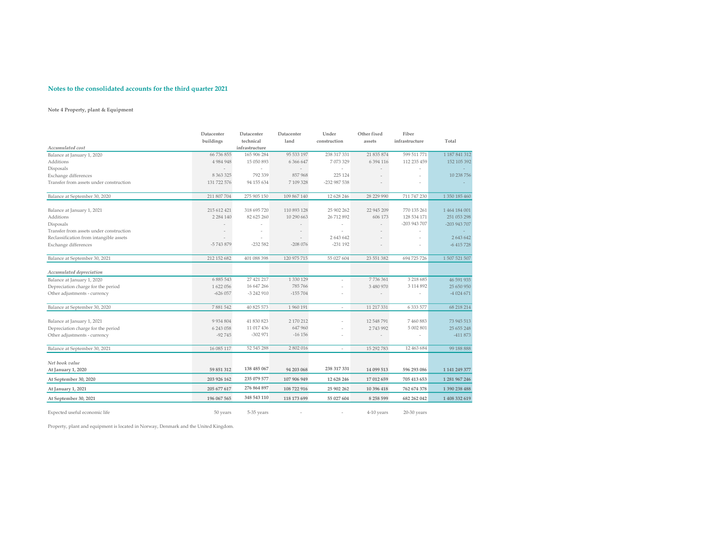### Note 4 Property, plant & Equipment

|                                         | Datacenter<br>buildings | Datacenter<br>technical | Datacenter<br>land  | Under<br>construction | Other fixed<br>assets | Fiber<br>infrastructure | Total         |
|-----------------------------------------|-------------------------|-------------------------|---------------------|-----------------------|-----------------------|-------------------------|---------------|
| Accumulated cost                        |                         | infrastructure          |                     |                       |                       |                         |               |
| Balance at January 1, 2020              | 66 736 855              | 165 906 284             | 95 533 197          | 238 317 331           | 21 835 874            | 599 511 771             | 1 187 841 312 |
| Additions                               | 4 9 8 4 9 4 8           | 15 050 893              | 6 366 647           | 7 073 329             | 6 3 9 4 1 1 6         | 112 235 459             | 152 105 392   |
| Disposals                               | $\sim$                  |                         |                     |                       |                       |                         |               |
| Exchange differences                    | 8 3 6 3 3 2 5           | 792 339                 | 857968              | 225 124               |                       |                         | 10 238 756    |
| Transfer from assets under construction | 131 722 576             | 94 155 634              | 7109328             | -232 987 538          |                       |                         |               |
| Balance at September 30, 2020           | 211 807 704             | 275 905 150             | 109 867 140         | 12 628 246            | 28 229 990            | 711 747 230             | 1 350 185 460 |
| Balance at January 1, 2021              | 215 612 421             | 318 695 720             | 110 893 128         | 25 902 262            | 22 945 209            | 770 135 261             | 1 464 184 001 |
| Additions                               | 2 2 8 4 1 4 0           | 82 625 260              | 10 290 663          | 26 712 892            | 606 173               | 128 534 171             | 251 053 298   |
| Disposals                               |                         |                         |                     |                       |                       | -203 943 707            | -203 943 707  |
| Transfer from assets under construction |                         |                         |                     |                       |                       |                         |               |
| Reclassification from intangible assets |                         |                         |                     | 2 643 642             |                       | $\sim$                  | 2 643 642     |
| Exchange differences                    | -5743879                | $-232582$               | $-208076$           | $-231$ 192            |                       |                         | $-6415728$    |
| Balance at September 30, 2021           | 212 152 682             | 401 088 398             | 120 975 715         | 55 027 604            | 23 551 382            | 694 725 726             | 1 507 521 507 |
| Accumulated depreciation                |                         |                         |                     |                       |                       |                         |               |
| Balance at January 1, 2020              | 6 885 543               | 27 421 217              | 1 330 129           |                       | 7736361               | 3 218 685               | 46 591 935    |
| Depreciation charge for the period      | 1 622 056               | 16 647 266              | 785 766             |                       | 3 480 970             | 3 114 892               | 25 650 950    |
| Other adjustments - currency            | $-626057$               | -3 242 910              | $-155704$           |                       |                       |                         | $-4024671$    |
| Balance at September 30, 2020           | 7881542                 | 40 825 573              | 1 960 191           | $\sim$                | 11 217 331            | 6 3 3 5 7 7             | 68 218 214    |
|                                         |                         |                         |                     |                       |                       |                         |               |
| Balance at January 1, 2021              | 9 9 3 4 8 0 4           | 41 830 823              | 2 170 212<br>647960 |                       | 12 548 791            | 7460883<br>5 002 801    | 73 945 513    |
| Depreciation charge for the period      | 6 243 058               | 11 017 436              |                     |                       | 2743992               |                         | 25 655 248    |
| Other adjustments - currency            | $-92745$                | $-302971$               | $-16156$            |                       |                       | $\sim$                  | -411 873      |
| Balance at September 30, 2021           | 16 085 117              | 52 545 288              | 2 802 016           | $\sim$                | 15 292 783            | 12 463 684              | 99 188 888    |
| Net book value                          |                         |                         |                     |                       |                       |                         |               |
| At January 1, 2020                      | 59 851 312              | 138 485 067             | 94 203 068          | 238 317 331           | 14 099 513            | 596 293 086             | 1 141 249 377 |
| At September 30, 2020                   | 203 926 162             | 235 079 577             | 107 906 949         | 12 628 246            | 17 012 659            | 705 413 653             | 1 281 967 246 |
| At January 1, 2021                      | 205 677 617             | 276 864 897             | 108 722 916         | 25 902 262            | 10 396 418            | 762 674 378             | 1 390 238 488 |
| At September 30, 2021                   | 196 067 565             | 348 543 110             | 118 173 699         | 55 027 604            | 8 258 599             | 682 262 042             | 1 408 332 619 |

Expected useful economic life 50 years 5-35 years 5-35 years - 4-10 years 20-30 years 20-30 years 20-30 years

Property, plant and equipment is located in Norway, Denmark and the United Kingdom.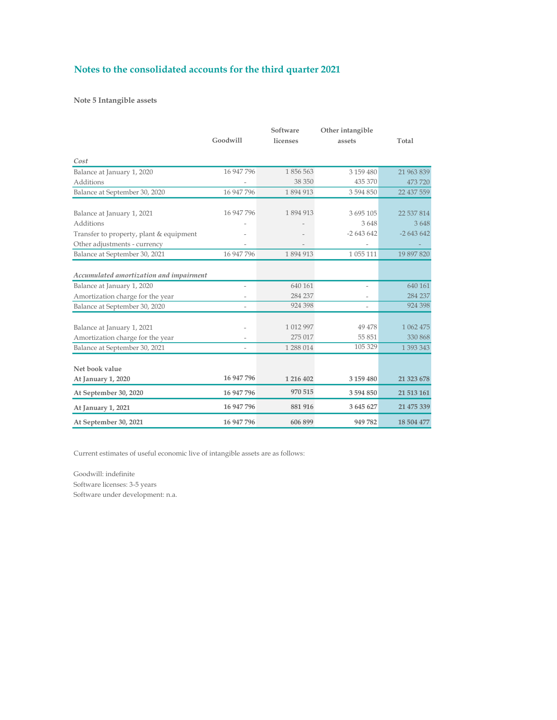Note 5 Intangible assets

|                                                                | Goodwill   | Software<br>licenses | Other intangible<br>assets | Total                |
|----------------------------------------------------------------|------------|----------------------|----------------------------|----------------------|
| Cost                                                           |            |                      |                            |                      |
| Balance at January 1, 2020                                     | 16 947 796 | 1856563              | 3 159 480                  | 21 963 839           |
| <b>Additions</b>                                               |            | 38 350               | 435 370                    | 473720               |
| Balance at September 30, 2020                                  | 16 947 796 | 1894913              | 3 594 850                  | 22 437 559           |
| Balance at January 1, 2021<br>Additions                        | 16 947 796 | 1894913              | 3 695 105<br>3648          | 22 537 814<br>3648   |
| Transfer to property, plant & equipment                        |            |                      | $-2643642$                 | $-2643642$           |
| Other adjustments - currency                                   |            |                      |                            |                      |
| Balance at September 30, 2021                                  | 16 947 796 | 1894913              | 1 055 111                  | 19 897 820           |
| Accumulated amortization and impairment                        |            |                      |                            |                      |
| Balance at January 1, 2020                                     |            | 640 161              | $\overline{a}$             | 640 161              |
| Amortization charge for the year                               |            | 284 237              |                            | 284 237              |
| Balance at September 30, 2020                                  |            | 924 398              | $\overline{a}$             | 924 398              |
| Balance at January 1, 2021<br>Amortization charge for the year |            | 1 012 997<br>275 017 | 49 478<br>55 851           | 1 062 475<br>330 868 |
| Balance at September 30, 2021                                  |            | 1 288 014            | 105 329                    | 1 393 343            |
| Net book value                                                 | 16 947 796 | 1 216 402            | 3 159 480                  | 21 323 678           |
| At January 1, 2020                                             |            |                      |                            |                      |
| At September 30, 2020                                          | 16 947 796 | 970 515              | 3594850                    | 21 513 161           |
| At January 1, 2021                                             | 16 947 796 | 881 916              | 3 645 627                  | 21 475 339           |
| At September 30, 2021                                          | 16 947 796 | 606 899              | 949 782                    | 18 504 477           |

Current estimates of useful economic live of intangible assets are as follows:

Goodwill: indefinite Software licenses: 3-5 years Software under development: n.a.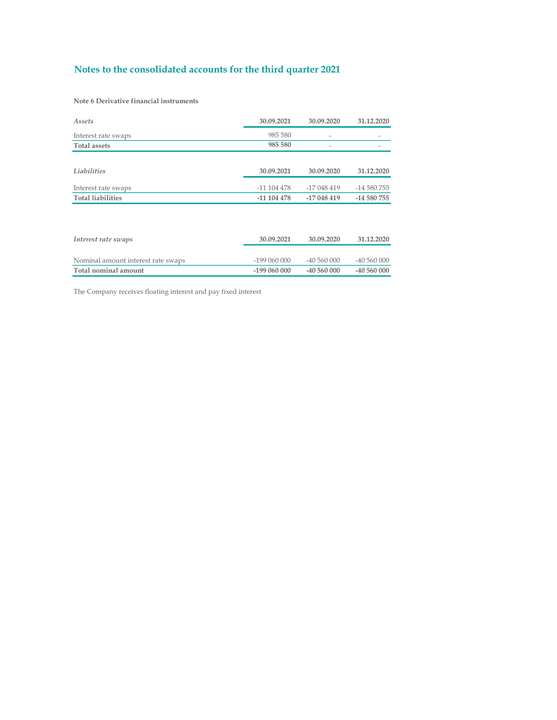Note 6 Derivative financial instruments

| Assets                             | 30.09.2021    | 30.09.2020               | 31.12.2020  |  |
|------------------------------------|---------------|--------------------------|-------------|--|
| Interest rate swaps                | 985 580       | $\overline{\phantom{0}}$ |             |  |
| <b>Total assets</b>                | 985 580       |                          |             |  |
|                                    |               |                          |             |  |
| Liabilities                        | 30.09.2021    | 30.09.2020               | 31.12.2020  |  |
| Interest rate swaps                | $-11104478$   | -17 048 419              | -14 580 755 |  |
| <b>Total liabilities</b>           | $-11$ 104 478 | -17 048 419              | -14 580 755 |  |
|                                    |               |                          |             |  |
|                                    |               |                          |             |  |
| Interest rate swaps                | 30.09.2021    | 30.09.2020               | 31.12.2020  |  |
|                                    |               |                          |             |  |
| Naminal amount intovact rate quano | 100.040.000   | 10.560.000               | 10.560.000  |  |

Nominal amount interest rate swaps -199 060 000 -40 560 000 -40 560 000 -40 560 000 -40 560 000 -40 560 000 -40 560 000 -40 560 000 -40 560 000 -40 560 000 -40 560 000 -40 560 000 -40 560 000 -40 560 000 -40 560 000 -40 56  $\overline{\rm Total}$ nominal amount

The Company receives floating interest and pay fixed interest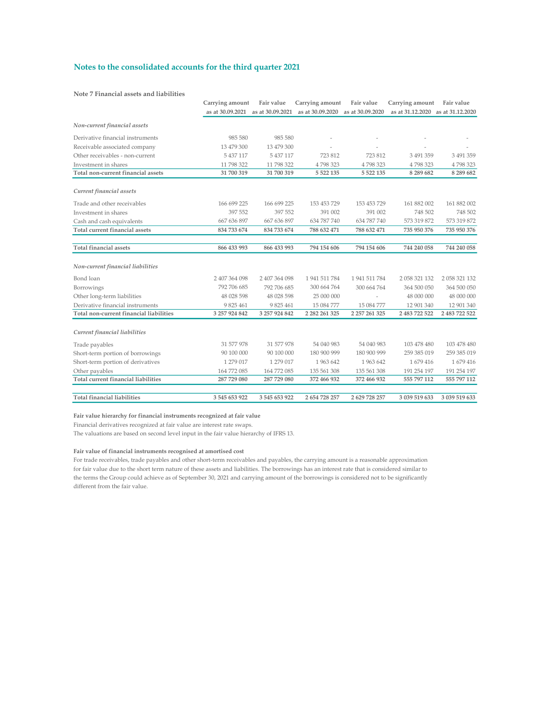Note 7 Financial assets and liabilities

|                                         | Carrying amount | Fair value                        | Carrying amount     | Fair value       | Carrying amount Fair value        |               |
|-----------------------------------------|-----------------|-----------------------------------|---------------------|------------------|-----------------------------------|---------------|
|                                         |                 | as at 30.09.2021 as at 30.09.2021 | as at 30.09.2020    | as at 30.09.2020 | as at 31.12.2020 as at 31.12.2020 |               |
| Non-current financial assets            |                 |                                   |                     |                  |                                   |               |
| Derivative financial instruments        | 985 580         | 985 580                           |                     |                  |                                   |               |
| Receivable associated company           | 13 479 300      | 13 479 300                        |                     |                  |                                   |               |
| Other receivables - non-current         | 5 437 117       | 5 437 117                         | 723 812             | 723 812          | 3 491 359                         | 3 491 359     |
| Investment in shares                    | 11 798 322      | 11 798 322                        | 4798323             | 4798323          | 4798323                           | 4798323       |
| Total non-current financial assets      | 31 700 319      | 31 700 319                        | 5 5 2 2 1 3 5       | 5 5 2 2 1 3 5    | 8 289 682                         | 8 2 8 9 6 8 2 |
| Current financial assets                |                 |                                   |                     |                  |                                   |               |
| Trade and other receivables             | 166 699 225     | 166 699 225                       | 153 453 729         | 153 453 729      | 161 882 002                       | 161 882 002   |
| Investment in shares                    | 397 552         | 397 552                           | 391 002             | 391 002          | 748 502                           | 748 502       |
| Cash and cash equivalents               | 667 636 897     | 667 636 897                       | 634 787 740         | 634 787 740      | 573 319 872                       | 573 319 872   |
| Total current financial assets          | 834 733 674     | 834 733 674                       | 788 632 471         | 788 632 471      | 735 950 376                       | 735 950 376   |
| <b>Total financial assets</b>           | 866 433 993     | 866 433 993                       | 794 154 606         | 794 154 606      | 744 240 058                       | 744 240 058   |
|                                         |                 |                                   |                     |                  |                                   |               |
| Non-current financial liabilities       |                 |                                   |                     |                  |                                   |               |
| Bond loan                               | 2 407 364 098   | 2 407 364 098                     | 1 941 511 784       | 1 941 511 784    | 2 058 321 132                     | 2 058 321 132 |
| Borrowings                              | 792 706 685     | 792 706 685                       | 300 664 764         | 300 664 764      | 364 500 050                       | 364 500 050   |
| Other long-term liabilities             | 48 028 598      | 48 028 598                        | 25 000 000          |                  | 48 000 000                        | 48 000 000    |
| Derivative financial instruments        | 9 825 461       | 9 825 461                         | 15 084 777          | 15 084 777       | 12 901 340                        | 12 901 340    |
| Total non-current financial liabilities | 3 257 924 842   | 3 257 924 842                     | 2 2 8 2 2 6 1 3 2 5 | 2 257 261 325    | 2 483 722 522                     | 2 483 722 522 |
| Current financial liabilities           |                 |                                   |                     |                  |                                   |               |
| Trade payables                          | 31 577 978      | 31 577 978                        | 54 040 983          | 54 040 983       | 103 478 480                       | 103 478 480   |
| Short-term portion of borrowings        | 90 100 000      | 90 100 000                        | 180 900 999         | 180 900 999      | 259 385 019                       | 259 385 019   |
| Short-term portion of derivatives       | 1 279 017       | 1 279 017                         | 1963 642            | 1 963 642        | 1679416                           | 1679416       |
| Other payables                          | 164 772 085     | 164 772 085                       | 135 561 308         | 135 561 308      | 191 254 197                       | 191 254 197   |
| Total current financial liabilities     | 287 729 080     | 287 729 080                       | 372 466 932         | 372 466 932      | 555 797 112                       | 555 797 112   |
| <b>Total financial liabilities</b>      | 3 545 653 922   | 3545653922                        | 2 654 728 257       | 2 629 728 257    | 3 039 519 633                     | 3 039 519 633 |

### Fair value hierarchy for financial instruments recognized at fair value

Financial derivatives recognized at fair value are interest rate swaps.

The valuations are based on second level input in the fair value hierarchy of IFRS 13.

### Fair value of financial instruments recognised at amortised cost

For trade receivables, trade payables and other short-term receivables and payables, the carrying amount is a reasonable approximation for fair value due to the short term nature of these assets and liabilities. The borrowings has an interest rate that is considered similar to the terms the Group could achieve as of September 30, 2021 and carrying amount of the borrowings is considered not to be significantly different from the fair value.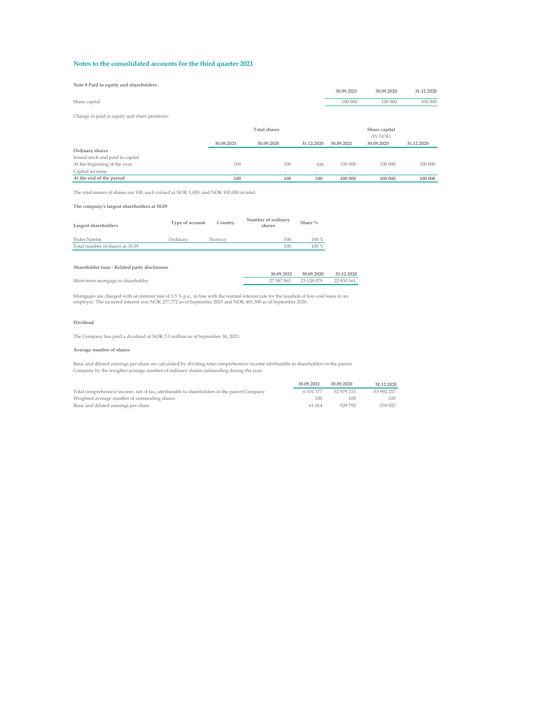### Note 8 Paid in equity and shareholders

| Note 5 Paid in equity and shareholders                                                 |                          |                          |            |                |               |            |
|----------------------------------------------------------------------------------------|--------------------------|--------------------------|------------|----------------|---------------|------------|
|                                                                                        |                          |                          |            | 30.09.2021     | 30.09.2020    | 31.12.2020 |
| Share capital                                                                          |                          |                          |            | 100 000        | 100 000       | 100 000    |
|                                                                                        |                          |                          |            |                |               |            |
| Change in paid in equity and share premium:                                            |                          |                          |            |                |               |            |
|                                                                                        |                          | <b>Total shares</b>      |            |                | Share capital |            |
|                                                                                        |                          |                          |            |                | (IN NOK)      |            |
|                                                                                        | 30.09.2021               | 30.09.2020               | 31.12.2020 | 30.09.2021     | 30.09.2020    | 31.12.2020 |
| Ordinary shares                                                                        |                          |                          |            |                |               |            |
| Issued stock and paid in capital                                                       |                          |                          |            |                |               |            |
| At the beginning of the year                                                           | 100                      | 100                      | 100        | 100 000        | 100 000       | 100 000    |
| Capital increase                                                                       | $\overline{\phantom{a}}$ | $\overline{\phantom{a}}$ | $\sim$     | $\overline{a}$ | $\sim$        | ٠          |
| At the end of the period                                                               | 100                      | 100                      | 100        | 100 000        | 100 000       | 100 000    |
|                                                                                        |                          |                          |            |                |               |            |
| The total numer of shares are 100, each valued at NOK 1,000, and NOK 100,000 in total. |                          |                          |            |                |               |            |

The company's largest shareholders at 30.09

| Largest shareholders            | Type of account | Country | Number of ordinary<br>shares | Share % |  |
|---------------------------------|-----------------|---------|------------------------------|---------|--|
| Peder Nærbø                     | Ordinary        | Norway  | 100                          | $100\%$ |  |
| Total number of shares at 30.09 |                 |         | 100                          | $100\%$ |  |

#### Shareholder loan - Related party disclosures

|                                    | 30.09.2021 30.09.2020 31.12.2020 |            |
|------------------------------------|----------------------------------|------------|
| Short-term mortgage to shareholder | 27 587 965 23 128 979            | 22 830 161 |
|                                    |                                  |            |

Mortgages are charged with an interest rate of 1.5 % p.a., in line with the normal interest rate for the taxation of low-cost loans to an<br>employer. The incurred interest was NOK 277,772 as of September 2021 and NOK 401,500

#### Dividend

The Company has paid a dividend of NOK 7.0 million as of September 30, 2021.

### Average number of shares

Basic and diluted earnings per share are calculated by dividing total comprehensive income attributable to shareholders in the parent Company by the weightet average number of ordinary shares outstanding during the year.

|                                                                                            | 30.09.2021 | 30.09.2020  | 31.12.2020  |
|--------------------------------------------------------------------------------------------|------------|-------------|-------------|
| Total comprehensive income, net of tax, attributable to shareholders in the parent Company | 6 101 377  | -52 979 233 | -53 992 257 |
| Weighted average number of outstanding shares                                              | 100        | 100         | 100         |
| Basic and diluted earnings per share                                                       | 61 014     | $-529792$   | $-539933$   |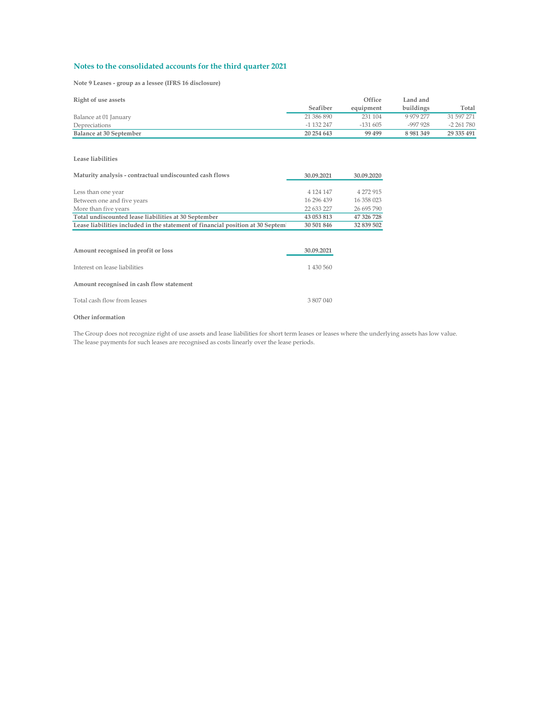Note 9 Leases - group as a lessee (IFRS 16 disclosure)

| Right of use assets     |              | Office    | Land and      |              |
|-------------------------|--------------|-----------|---------------|--------------|
|                         | Seafiber     | equipment | buildings     | Total        |
| Balance at 01 January   | 21 386 890   | 231 104   | 9 979 277     | 31 597 271   |
| Depreciations           | $-1$ 132 247 | $-131605$ | -997 928      | $-2,261,780$ |
| Balance at 30 September | 20 254 643   | 99 499    | 8 9 8 1 3 4 9 | 29 335 491   |

Lease liabilities

| Maturity analysis - contractual undiscounted cash flows                        | 30.09.2021  | 30.09.2020 |  |
|--------------------------------------------------------------------------------|-------------|------------|--|
|                                                                                |             |            |  |
| Less than one year                                                             | 4 124 147   | 4 272 915  |  |
| Between one and five years                                                     | 16 29 6 439 | 16 358 023 |  |
| More than five years                                                           | 22 633 227  | 26 695 790 |  |
| Total undiscounted lease liabilities at 30 September                           | 43 053 813  | 47 326 728 |  |
| Lease liabilities included in the statement of financial position at 30 Septem | 30 501 846  | 32 839 502 |  |
|                                                                                |             |            |  |
|                                                                                |             |            |  |
| Amount recognised in profit or loss                                            | 30.09.2021  |            |  |
|                                                                                |             |            |  |
| Interest on lease liabilities                                                  | 1 430 560   |            |  |
|                                                                                |             |            |  |
| Amount recognised in cash flow statement                                       |             |            |  |
| Total cash flow from leases                                                    | 3 807 040   |            |  |
|                                                                                |             |            |  |

### Other information

The Group does not recognize right of use assets and lease liabilities for short term leases or leases where the underlying assets has low value. The lease payments for such leases are recognised as costs linearly over the lease periods.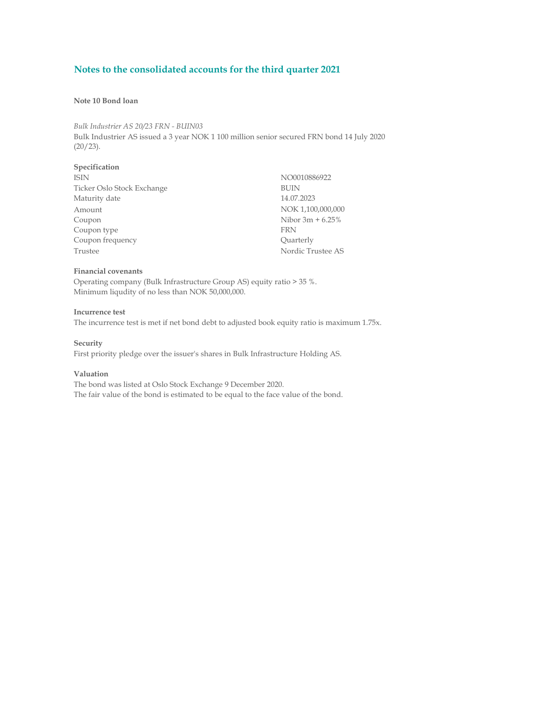### Note 10 Bond loan

Bulk Industrier AS 20/23 FRN - BUIN03 Bulk Industrier AS issued a 3 year NOK 1 100 million senior secured FRN bond 14 July 2020 (20/23).

# Specification

| <b>ISIN</b>                | NO0010886922       |  |
|----------------------------|--------------------|--|
| Ticker Oslo Stock Exchange | <b>BUIN</b>        |  |
| Maturity date              | 14.07.2023         |  |
| Amount                     | NOK 1,100,000,000  |  |
| Coupon                     | Nibor $3m + 6.25%$ |  |
| Coupon type                | <b>FRN</b>         |  |
| Coupon frequency           | Quarterly          |  |
| Trustee                    | Nordic Trustee AS  |  |

### Financial covenants

Operating company (Bulk Infrastructure Group AS) equity ratio > 35 %. Minimum liqudity of no less than NOK 50,000,000.

### Incurrence test

The incurrence test is met if net bond debt to adjusted book equity ratio is maximum 1.75x.

### **Security**

First priority pledge over the issuer's shares in Bulk Infrastructure Holding AS.

### Valuation

The bond was listed at Oslo Stock Exchange 9 December 2020. The fair value of the bond is estimated to be equal to the face value of the bond.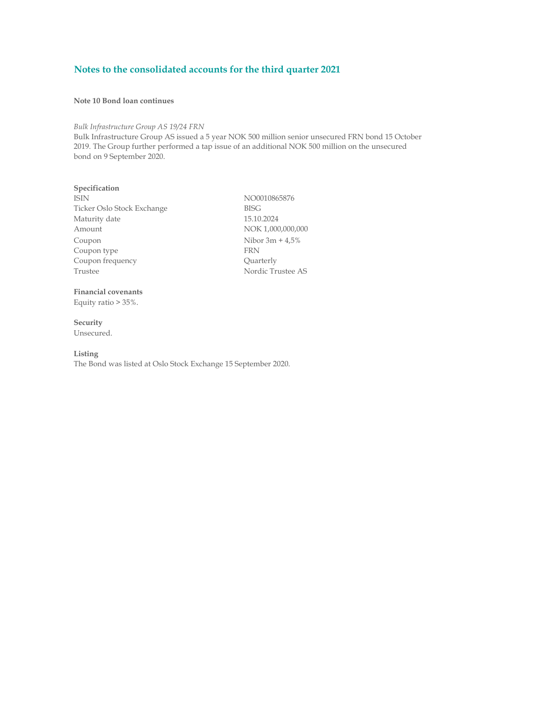### Note 10 Bond loan continues

### Bulk Infrastructure Group AS 19/24 FRN

Bulk Infrastructure Group AS issued a 5 year NOK 500 million senior unsecured FRN bond 15 October 2019. The Group further performed a tap issue of an additional NOK 500 million on the unsecured bond on 9 September 2020.

### Specification

ISIN NO0010865876 Ticker Oslo Stock Exchange BISG Maturity date 15.10.2024 Amount NOK 1,000,000,000 Coupon Nibor 3m + 4,5%<br>Coupon type FRN Coupon type FRN<br>
Coupon frequency Coupon Coupon Coupon Frequency Coupon frequency Trustee AS

## Financial covenants

Equity ratio > 35%.

**Security** Unsecured.

### Listing

The Bond was listed at Oslo Stock Exchange 15 September 2020.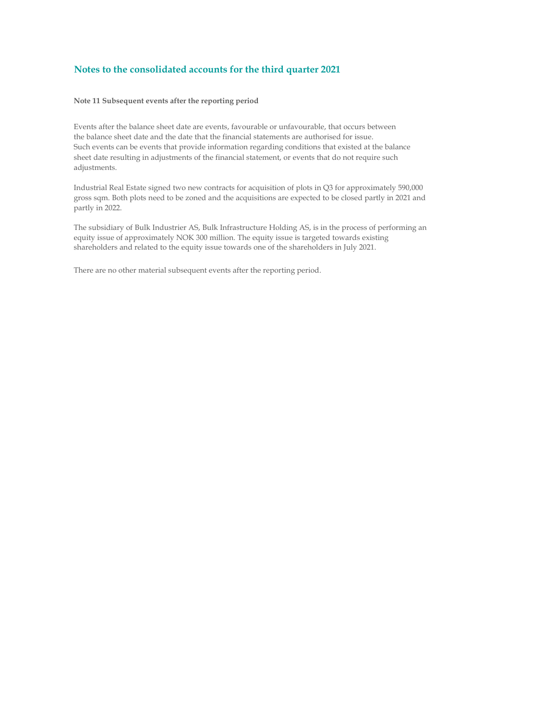### Note 11 Subsequent events after the reporting period

Events after the balance sheet date are events, favourable or unfavourable, that occurs between the balance sheet date and the date that the financial statements are authorised for issue. Such events can be events that provide information regarding conditions that existed at the balance sheet date resulting in adjustments of the financial statement, or events that do not require such adjustments.

Industrial Real Estate signed two new contracts for acquisition of plots in Q3 for approximately 590,000 gross sqm. Both plots need to be zoned and the acquisitions are expected to be closed partly in 2021 and partly in 2022.

The subsidiary of Bulk Industrier AS, Bulk Infrastructure Holding AS, is in the process of performing an equity issue of approximately NOK 300 million. The equity issue is targeted towards existing shareholders and related to the equity issue towards one of the shareholders in July 2021.

There are no other material subsequent events after the reporting period.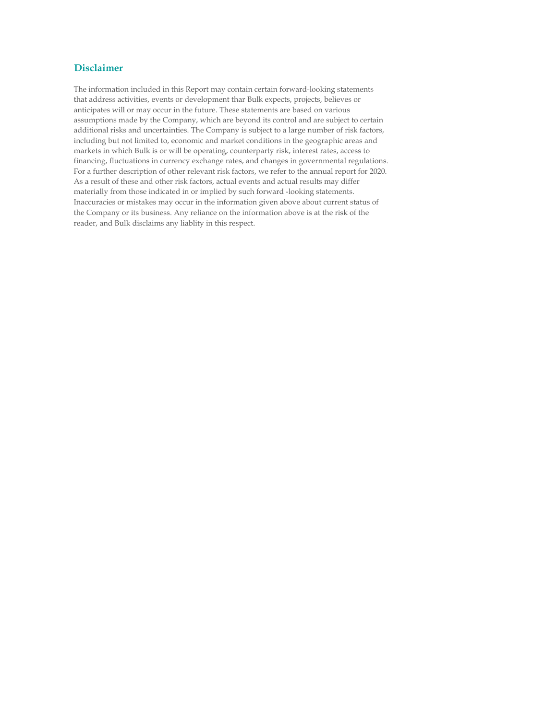## Disclaimer

The information included in this Report may contain certain forward-looking statements that address activities, events or development thar Bulk expects, projects, believes or anticipates will or may occur in the future. These statements are based on various assumptions made by the Company, which are beyond its control and are subject to certain additional risks and uncertainties. The Company is subject to a large number of risk factors, including but not limited to, economic and market conditions in the geographic areas and markets in which Bulk is or will be operating, counterparty risk, interest rates, access to financing, fluctuations in currency exchange rates, and changes in governmental regulations. For a further description of other relevant risk factors, we refer to the annual report for 2020. As a result of these and other risk factors, actual events and actual results may differ materially from those indicated in or implied by such forward -looking statements. Inaccuracies or mistakes may occur in the information given above about current status of the Company or its business. Any reliance on the information above is at the risk of the reader, and Bulk disclaims any liablity in this respect.